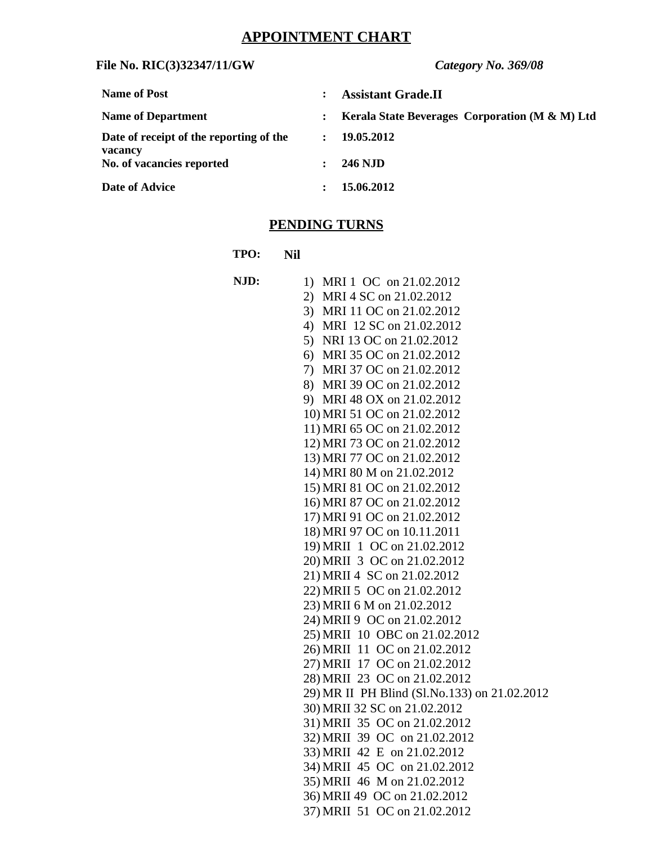# **APPOINTMENT CHART**

## **File No. RIC(3)32347/11/GW** *Category No. 369/08*

| <b>Name of Post</b>                                |                      | <b>Assistant Grade.II</b>                      |
|----------------------------------------------------|----------------------|------------------------------------------------|
| <b>Name of Department</b>                          | $\ddot{\phantom{a}}$ | Kerala State Beverages Corporation (M & M) Ltd |
| Date of receipt of the reporting of the<br>vacancy | $\mathbf{L}$         | 19.05.2012                                     |
| No. of vacancies reported                          | $\mathbf{L}$         | <b>246 NJD</b>                                 |
| Date of Advice                                     |                      | 15.06.2012                                     |

# **PENDING TURNS**

**TPO: Nil**

| NJD: | 1) MRI 1 OC on 21.02.2012                                    |
|------|--------------------------------------------------------------|
|      | 2) MRI 4 SC on 21.02.2012                                    |
|      | 3) MRI 11 OC on 21.02.2012                                   |
|      | 4) MRI 12 SC on 21.02.2012                                   |
|      | 5) NRI 13 OC on 21.02.2012                                   |
|      | 6) MRI 35 OC on 21.02.2012                                   |
|      | 7) MRI 37 OC on 21.02.2012                                   |
|      | 8) MRI 39 OC on 21.02.2012                                   |
|      | 9) MRI 48 OX on 21.02.2012                                   |
|      | 10) MRI 51 OC on 21.02.2012                                  |
|      | 11) MRI 65 OC on 21.02.2012                                  |
|      | 12) MRI 73 OC on 21.02.2012                                  |
|      | 13) MRI 77 OC on 21.02.2012                                  |
|      | 14) MRI 80 M on 21.02.2012                                   |
|      | 15) MRI 81 OC on 21.02.2012                                  |
|      | 16) MRI 87 OC on 21.02.2012                                  |
|      | 17) MRI 91 OC on 21.02.2012                                  |
|      | 18) MRI 97 OC on 10.11.2011                                  |
|      | 19) MRII 1 OC on 21.02.2012                                  |
|      | 20) MRII 3 OC on 21.02.2012                                  |
|      | 21) MRII 4 SC on 21.02.2012                                  |
|      | 22) MRII 5 OC on 21.02.2012                                  |
|      | 23) MRII 6 M on 21.02.2012                                   |
|      | 24) MRII 9 OC on 21.02.2012                                  |
|      | 25) MRII 10 OBC on 21.02.2012                                |
|      | 26) MRII 11 OC on 21.02.2012                                 |
|      | 27) MRII 17 OC on 21.02.2012                                 |
|      | 28) MRII 23 OC on 21.02.2012                                 |
|      | 29) MR II PH Blind (Sl.No.133) on 21.02.2012                 |
|      | 30) MRII 32 SC on 21.02.2012                                 |
|      | 31) MRII 35 OC on 21.02.2012                                 |
|      | 32) MRII 39 OC on 21.02.2012                                 |
|      | 33) MRII 42 E on 21.02.2012                                  |
|      | 34) MRII 45 OC on 21.02.2012                                 |
|      | 35) MRII 46 M on 21.02.2012                                  |
|      | 36) MRII 49 OC on 21.02.2012<br>37) MRII 51 OC on 21.02.2012 |
|      |                                                              |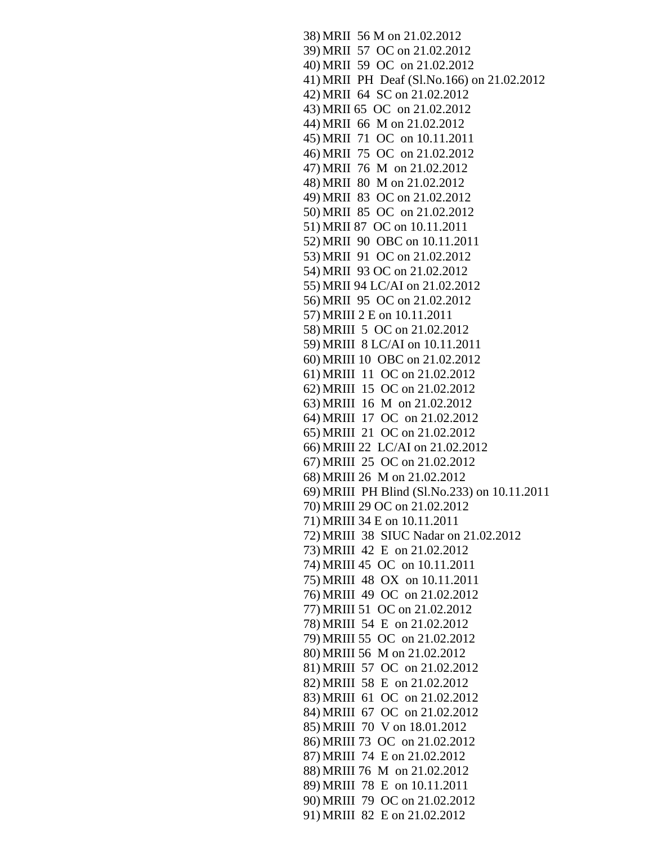```
38) MRII 56 M on 21.02.2012
39) MRII 57 OC on 21.02.2012
40) MRII 59 OC on 21.02.2012
41) MRII PH Deaf (Sl.No.166) on 21.02.2012
42) MRII 64 SC on 21.02.2012
43) MRII 65 OC on 21.02.2012
44) MRII 66 M on 21.02.2012
45) MRII 71 OC on 10.11.2011
46) MRII 75 OC on 21.02.2012
47) MRII 76 M on 21.02.2012
48) MRII 80 M on 21.02.2012
49) MRII 83 OC on 21.02.2012
50) MRII 85 OC on 21.02.2012
51) MRII 87 OC on 10.11.2011
52) MRII 90 OBC on 10.11.2011
53) MRII 91 OC on 21.02.2012
54) MRII 93 OC on 21.02.2012
55) MRII 94 LC/AI on 21.02.2012
56) MRII 95 OC on 21.02.2012
57) MRIII 2 E on 10.11.2011
58) MRIII 5 OC on 21.02.2012
59) MRIII 8 LC/AI on 10.11.2011
60) MRIII 10 OBC on 21.02.2012
61) MRIII 11 OC on 21.02.2012
62) MRIII 15 OC on 21.02.2012
63) MRIII 16 M on 21.02.2012
64) MRIII 17 OC on 21.02.2012
65) MRIII 21 OC on 21.02.2012
66) MRIII 22 LC/AI on 21.02.2012
67) MRIII 25 OC on 21.02.2012
68) MRIII 26 M on 21.02.2012
69) MRIII PH Blind (Sl.No.233) on 10.11.2011
70) MRIII 29 OC on 21.02.2012
71) MRIII 34 E on 10.11.2011
72) MRIII 38 SIUC Nadar on 21.02.2012
73) MRIII 42 E on 21.02.2012
74) MRIII 45 OC on 10.11.2011
75) MRIII 48 OX on 10.11.2011
76) MRIII 49 OC on 21.02.2012
77) MRIII 51 OC on 21.02.2012
78) MRIII 54 E on 21.02.2012
79) MRIII 55 OC on 21.02.2012
80) MRIII 56 M on 21.02.2012
81) MRIII 57 OC on 21.02.2012
82) MRIII 58 E on 21.02.2012
83) MRIII 61 OC on 21.02.2012
84) MRIII 67 OC on 21.02.2012
85) MRIII 70 V on 18.01.2012
86) MRIII 73 OC on 21.02.2012
87) MRIII 74 E on 21.02.2012
88) MRIII 76 M on 21.02.2012
89) MRIII 78 E on 10.11.2011
90) MRIII 79 OC on 21.02.2012
91) MRIII 82 E on 21.02.2012
```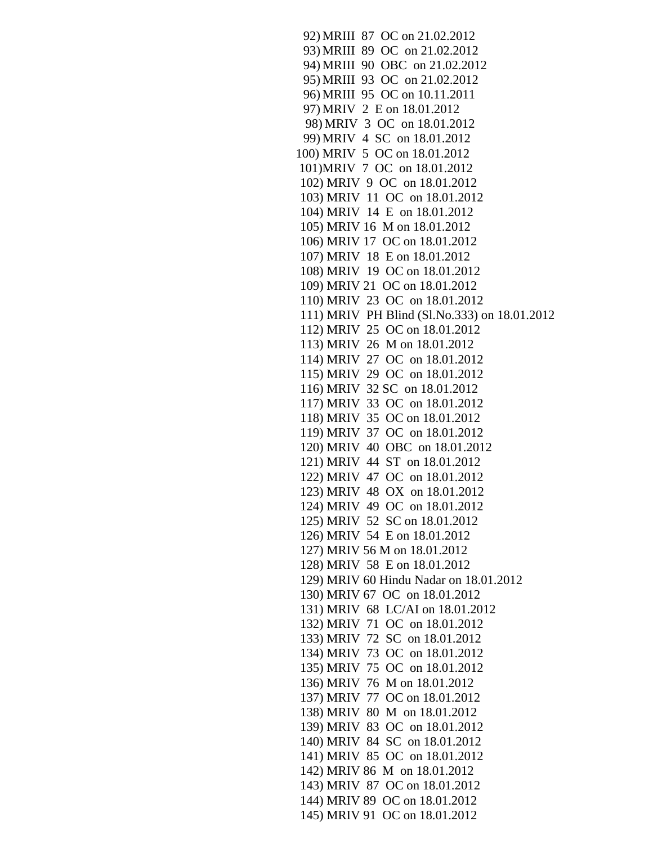92) MRIII 87 OC on 21.02.2012 93) MRIII 89 OC on 21.02.2012 94) MRIII 90 OBC on 21.02.2012 95) MRIII 93 OC on 21.02.2012 96) MRIII 95 OC on 10.11.2011 97) MRIV 2 E on 18.01.2012 98) MRIV 3 OC on 18.01.2012 99) MRIV 4 SC on 18.01.2012 100) MRIV 5 OC on 18.01.2012 101)MRIV 7 OC on 18.01.2012 102) MRIV 9 OC on 18.01.2012 103) MRIV 11 OC on 18.01.2012 104) MRIV 14 E on 18.01.2012 105) MRIV 16 M on 18.01.2012 106) MRIV 17 OC on 18.01.2012 107) MRIV 18 E on 18.01.2012 108) MRIV 19 OC on 18.01.2012 109) MRIV 21 OC on 18.01.2012 110) MRIV 23 OC on 18.01.2012 111) MRIV PH Blind (Sl.No.333) on 18.01.2012 112) MRIV 25 OC on 18.01.2012 113) MRIV 26 M on 18.01.2012 114) MRIV 27 OC on 18.01.2012 115) MRIV 29 OC on 18.01.2012 116) MRIV 32 SC on 18.01.2012 117) MRIV 33 OC on 18.01.2012 118) MRIV 35 OC on 18.01.2012 119) MRIV 37 OC on 18.01.2012 120) MRIV 40 OBC on 18.01.2012 121) MRIV 44 ST on 18.01.2012 122) MRIV 47 OC on 18.01.2012 123) MRIV 48 OX on 18.01.2012 124) MRIV 49 OC on 18.01.2012 125) MRIV 52 SC on 18.01.2012 126) MRIV 54 E on 18.01.2012 127) MRIV 56 M on 18.01.2012 128) MRIV 58 E on 18.01.2012 129) MRIV 60 Hindu Nadar on 18.01.2012 130) MRIV 67 OC on 18.01.2012 131) MRIV 68 LC/AI on 18.01.2012 132) MRIV 71 OC on 18.01.2012 133) MRIV 72 SC on 18.01.2012 134) MRIV 73 OC on 18.01.2012 135) MRIV 75 OC on 18.01.2012 136) MRIV 76 M on 18.01.2012 137) MRIV 77 OC on 18.01.2012 138) MRIV 80 M on 18.01.2012 139) MRIV 83 OC on 18.01.2012 140) MRIV 84 SC on 18.01.2012 141) MRIV 85 OC on 18.01.2012 142) MRIV 86 M on 18.01.2012 143) MRIV 87 OC on 18.01.2012 144) MRIV 89 OC on 18.01.2012 145) MRIV 91 OC on 18.01.2012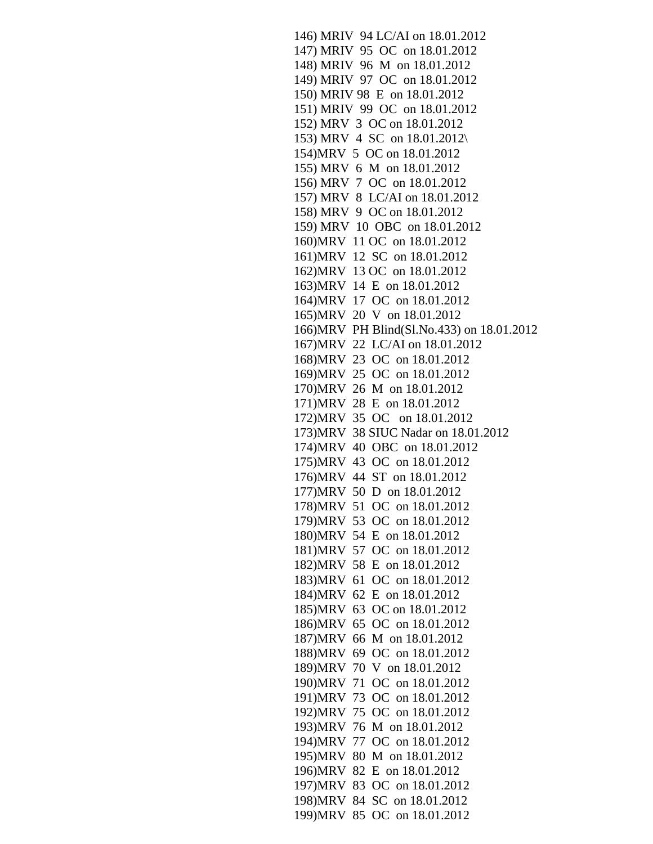146) MRIV 94 LC/AI on 18.01.2012 147) MRIV 95 OC on 18.01.2012 148) MRIV 96 M on 18.01.2012 149) MRIV 97 OC on 18.01.2012 150) MRIV 98 E on 18.01.2012 151) MRIV 99 OC on 18.01.2012 152) MRV 3 OC on 18.01.2012 153) MRV 4 SC on 18.01.2012\ 154)MRV 5 OC on 18.01.2012 155) MRV 6 M on 18.01.2012 156) MRV 7 OC on 18.01.2012 157) MRV 8 LC/AI on 18.01.2012 158) MRV 9 OC on 18.01.2012 159) MRV 10 OBC on 18.01.2012 160)MRV 11 OC on 18.01.2012 161)MRV 12 SC on 18.01.2012 162)MRV 13 OC on 18.01.2012 163)MRV 14 E on 18.01.2012 164)MRV 17 OC on 18.01.2012 165)MRV 20 V on 18.01.2012 166)MRV PH Blind(Sl.No.433) on 18.01.2012 167)MRV 22 LC/AI on 18.01.2012 168)MRV 23 OC on 18.01.2012 169)MRV 25 OC on 18.01.2012 170)MRV 26 M on 18.01.2012 171)MRV 28 E on 18.01.2012 172)MRV 35 OC on 18.01.2012 173)MRV 38 SIUC Nadar on 18.01.2012 174)MRV 40 OBC on 18.01.2012 175)MRV 43 OC on 18.01.2012 176)MRV 44 ST on 18.01.2012 177)MRV 50 D on 18.01.2012 178)MRV 51 OC on 18.01.2012 179)MRV 53 OC on 18.01.2012 180)MRV 54 E on 18.01.2012 181)MRV 57 OC on 18.01.2012 182)MRV 58 E on 18.01.2012 183)MRV 61 OC on 18.01.2012 184)MRV 62 E on 18.01.2012 185)MRV 63 OC on 18.01.2012 186)MRV 65 OC on 18.01.2012 187)MRV 66 M on 18.01.2012 188)MRV 69 OC on 18.01.2012 189)MRV 70 V on 18.01.2012 190)MRV 71 OC on 18.01.2012 191)MRV 73 OC on 18.01.2012 192)MRV 75 OC on 18.01.2012 193)MRV 76 M on 18.01.2012 194)MRV 77 OC on 18.01.2012 195)MRV 80 M on 18.01.2012 196)MRV 82 E on 18.01.2012 197)MRV 83 OC on 18.01.2012 198)MRV 84 SC on 18.01.2012 199)MRV 85 OC on 18.01.2012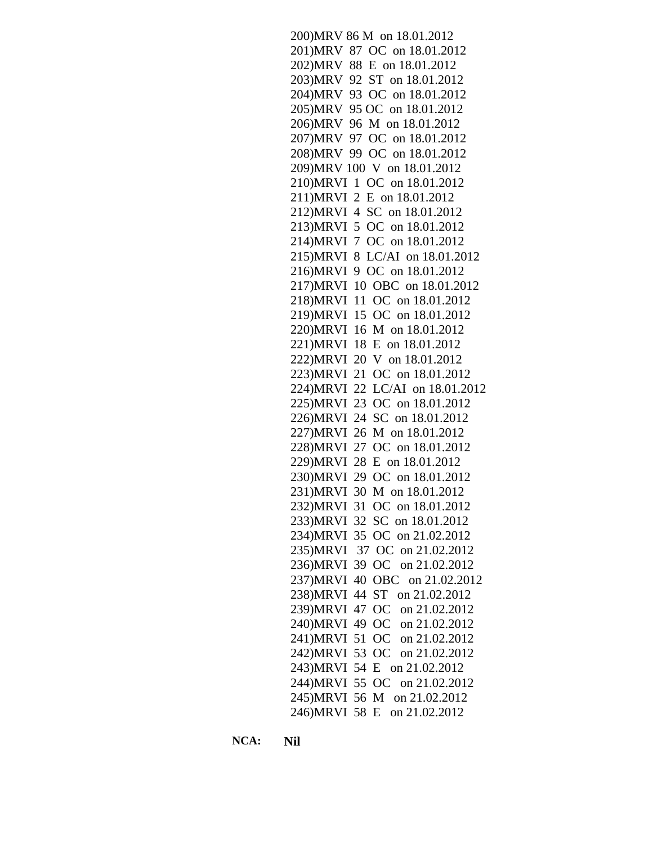200)MRV 86 M on 18.01.2012 201)MRV 87 OC on 18.01.2012 202)MRV 88 E on 18.01.2012 203)MRV 92 ST on 18.01.2012 204)MRV 93 OC on 18.01.2012 205)MRV 95 OC on 18.01.2012 206)MRV 96 M on 18.01.2012 207)MRV 97 OC on 18.01.2012 208)MRV 99 OC on 18.01.2012 209)MRV 100 V on 18.01.2012 210)MRVI 1 OC on 18.01.2012 211)MRVI 2 E on 18.01.2012 212)MRVI 4 SC on 18.01.2012 213)MRVI 5 OC on 18.01.2012 214)MRVI 7 OC on 18.01.2012 215)MRVI 8 LC/AI on 18.01.2012 216)MRVI 9 OC on 18.01.2012 217)MRVI 10 OBC on 18.01.2012 218)MRVI 11 OC on 18.01.2012 219)MRVI 15 OC on 18.01.2012 220)MRVI 16 M on 18.01.2012 221)MRVI 18 E on 18.01.2012 222)MRVI 20 V on 18.01.2012 223)MRVI 21 OC on 18.01.2012 224)MRVI 22 LC/AI on 18.01.2012 225)MRVI 23 OC on 18.01.2012 226)MRVI 24 SC on 18.01.2012 227)MRVI 26 M on 18.01.2012 228)MRVI 27 OC on 18.01.2012 229)MRVI 28 E on 18.01.2012 230)MRVI 29 OC on 18.01.2012 231)MRVI 30 M on 18.01.2012 232)MRVI 31 OC on 18.01.2012 233)MRVI 32 SC on 18.01.2012 234)MRVI 35 OC on 21.02.2012 235)MRVI 37 OC on 21.02.2012 236)MRVI 39 OC on 21.02.2012 237)MRVI 40 OBC on 21.02.2012 238)MRVI 44 ST on 21.02.2012 239)MRVI 47 OC on 21.02.2012 240)MRVI 49 OC on 21.02.2012 241)MRVI 51 OC on 21.02.2012 242)MRVI 53 OC on 21.02.2012 243)MRVI 54 E on 21.02.2012 244)MRVI 55 OC on 21.02.2012 245)MRVI 56 M on 21.02.2012 246)MRVI 58 E on 21.02.2012

**NCA: Nil**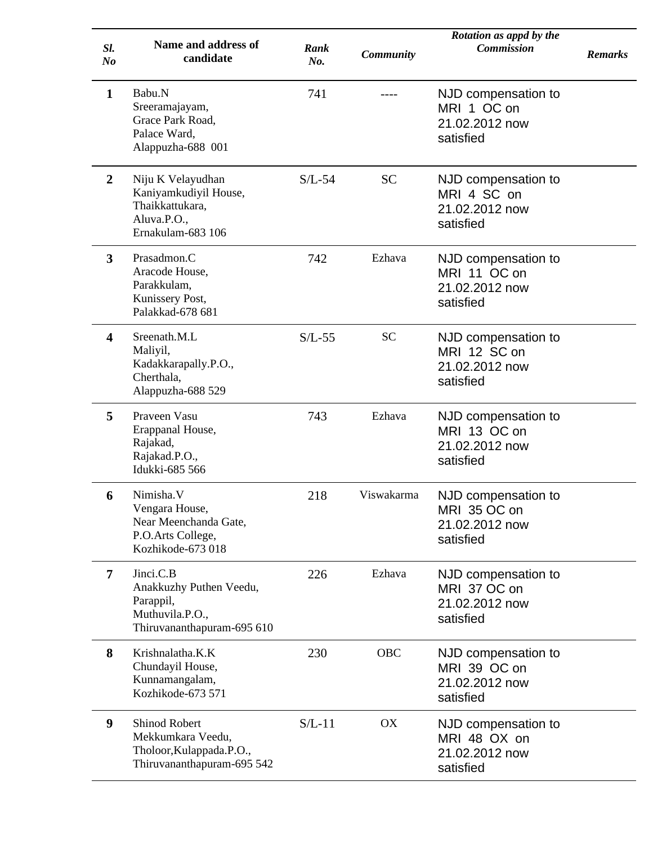| SI.<br>N <sub>o</sub> | <b>Name and address of</b><br>candidate                                                             | Rank<br>No. | <b>Community</b> | Rotation as appd by the<br><b>Commission</b>                       | <b>Remarks</b> |
|-----------------------|-----------------------------------------------------------------------------------------------------|-------------|------------------|--------------------------------------------------------------------|----------------|
| $\mathbf{1}$          | Babu.N<br>Sreeramajayam,<br>Grace Park Road,<br>Palace Ward,<br>Alappuzha-688 001                   | 741         |                  | NJD compensation to<br>MRI 1 OC on<br>21.02.2012 now<br>satisfied  |                |
| $\overline{2}$        | Niju K Velayudhan<br>Kaniyamkudiyil House,<br>Thaikkattukara,<br>Aluva.P.O.,<br>Ernakulam-683 106   | $S/L-54$    | <b>SC</b>        | NJD compensation to<br>MRI 4 SC on<br>21.02.2012 now<br>satisfied  |                |
| 3                     | Prasadmon.C<br>Aracode House,<br>Parakkulam,<br>Kunissery Post,<br>Palakkad-678 681                 | 742         | Ezhava           | NJD compensation to<br>MRI 11 OC on<br>21.02.2012 now<br>satisfied |                |
| 4                     | Sreenath.M.L<br>Maliyil,<br>Kadakkarapally.P.O.,<br>Cherthala,<br>Alappuzha-688 529                 | $S/L-55$    | <b>SC</b>        | NJD compensation to<br>MRI 12 SC on<br>21.02.2012 now<br>satisfied |                |
| 5                     | Praveen Vasu<br>Erappanal House,<br>Rajakad,<br>Rajakad.P.O.,<br>Idukki-685 566                     | 743         | Ezhava           | NJD compensation to<br>MRI 13 OC on<br>21.02.2012 now<br>satisfied |                |
| 6                     | Nimisha.V<br>Vengara House,<br>Near Meenchanda Gate,<br>P.O.Arts College,<br>Kozhikode-673018       | 218         | Viswakarma       | NJD compensation to<br>MRI 35 OC on<br>21.02.2012 now<br>satisfied |                |
| 7                     | Jinci.C.B<br>Anakkuzhy Puthen Veedu,<br>Parappil,<br>Muthuvila.P.O.,<br>Thiruvananthapuram-695 610  | 226         | Ezhava           | NJD compensation to<br>MRI 37 OC on<br>21.02.2012 now<br>satisfied |                |
| 8                     | Krishnalatha.K.K<br>Chundayil House,<br>Kunnamangalam,<br>Kozhikode-673 571                         | 230         | <b>OBC</b>       | NJD compensation to<br>MRI 39 OC on<br>21.02.2012 now<br>satisfied |                |
| 9                     | <b>Shinod Robert</b><br>Mekkumkara Veedu,<br>Tholoor, Kulappada.P.O.,<br>Thiruvananthapuram-695 542 | $S/L-11$    | OX               | NJD compensation to<br>MRI 48 OX on<br>21.02.2012 now<br>satisfied |                |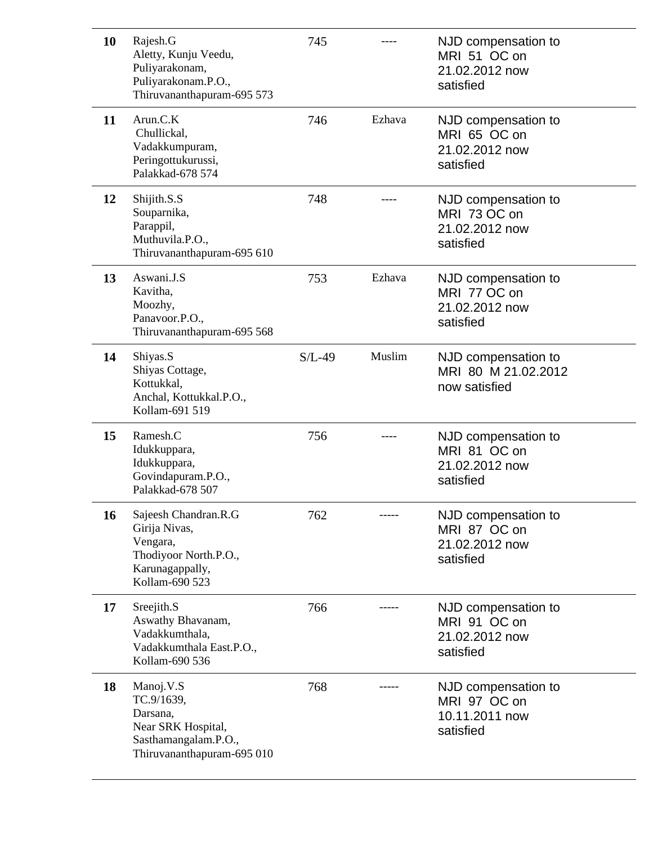| 10 | Rajesh.G<br>Aletty, Kunju Veedu,<br>Puliyarakonam,<br>Puliyarakonam.P.O.,<br>Thiruvananthapuram-695 573         | 745      |        | NJD compensation to<br>MRI 51 OC on<br>21.02.2012 now<br>satisfied |
|----|-----------------------------------------------------------------------------------------------------------------|----------|--------|--------------------------------------------------------------------|
| 11 | Arun.C.K<br>Chullickal,<br>Vadakkumpuram,<br>Peringottukurussi,<br>Palakkad-678 574                             | 746      | Ezhava | NJD compensation to<br>MRI 65 OC on<br>21.02.2012 now<br>satisfied |
| 12 | Shijith.S.S<br>Souparnika,<br>Parappil,<br>Muthuvila.P.O.,<br>Thiruvananthapuram-695 610                        | 748      |        | NJD compensation to<br>MRI 73 OC on<br>21.02.2012 now<br>satisfied |
| 13 | Aswani.J.S<br>Kavitha,<br>Moozhy,<br>Panavoor.P.O.,<br>Thiruvananthapuram-695 568                               | 753      | Ezhava | NJD compensation to<br>MRI 77 OC on<br>21.02.2012 now<br>satisfied |
| 14 | Shiyas.S<br>Shiyas Cottage,<br>Kottukkal,<br>Anchal, Kottukkal.P.O.,<br>Kollam-691 519                          | $S/L-49$ | Muslim | NJD compensation to<br>MRI 80 M 21.02.2012<br>now satisfied        |
| 15 | Ramesh.C<br>Idukkuppara,<br>Idukkuppara,<br>Govindapuram.P.O.,<br>Palakkad-678 507                              | 756      |        | NJD compensation to<br>MRI 81 OC on<br>21.02.2012 now<br>satisfied |
| 16 | Sajeesh Chandran.R.G<br>Girija Nivas,<br>Vengara,<br>Thodiyoor North.P.O.,<br>Karunagappally,<br>Kollam-690 523 | 762      |        | NJD compensation to<br>MRI 87 OC on<br>21.02.2012 now<br>satisfied |
| 17 | Sreejith.S<br>Aswathy Bhavanam,<br>Vadakkumthala,<br>Vadakkumthala East.P.O.,<br>Kollam-690 536                 | 766      |        | NJD compensation to<br>MRI 91 OC on<br>21.02.2012 now<br>satisfied |
| 18 | Manoj.V.S<br>TC.9/1639,<br>Darsana,<br>Near SRK Hospital,<br>Sasthamangalam.P.O.,<br>Thiruvananthapuram-695 010 | 768      |        | NJD compensation to<br>MRI 97 OC on<br>10.11.2011 now<br>satisfied |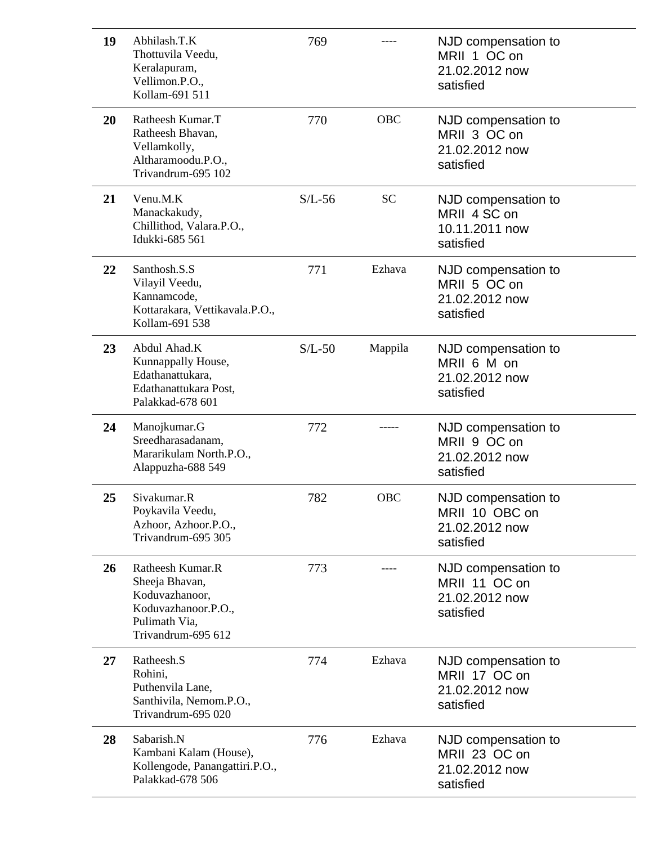| 19 | Abhilash.T.K<br>Thottuvila Veedu,<br>Keralapuram,<br>Vellimon.P.O.,<br>Kollam-691 511                              | 769      |            | NJD compensation to<br>MRII 1 OC on<br>21.02.2012 now<br>satisfied   |
|----|--------------------------------------------------------------------------------------------------------------------|----------|------------|----------------------------------------------------------------------|
| 20 | Ratheesh Kumar.T<br>Ratheesh Bhavan,<br>Vellamkolly,<br>Altharamoodu.P.O.,<br>Trivandrum-695 102                   | 770      | <b>OBC</b> | NJD compensation to<br>MRII 3 OC on<br>21.02.2012 now<br>satisfied   |
| 21 | Venu.M.K<br>Manackakudy,<br>Chillithod, Valara.P.O.,<br>Idukki-685 561                                             | $S/L-56$ | <b>SC</b>  | NJD compensation to<br>MRII 4 SC on<br>10.11.2011 now<br>satisfied   |
| 22 | Santhosh.S.S<br>Vilayil Veedu,<br>Kannamcode,<br>Kottarakara, Vettikavala.P.O.,<br>Kollam-691 538                  | 771      | Ezhava     | NJD compensation to<br>MRII 5 OC on<br>21.02.2012 now<br>satisfied   |
| 23 | Abdul Ahad.K<br>Kunnappally House,<br>Edathanattukara,<br>Edathanattukara Post,<br>Palakkad-678 601                | $S/L-50$ | Mappila    | NJD compensation to<br>MRII 6 M on<br>21.02.2012 now<br>satisfied    |
| 24 | Manojkumar.G<br>Sreedharasadanam,<br>Mararikulam North.P.O.,<br>Alappuzha-688 549                                  | 772      |            | NJD compensation to<br>MRII 9 OC on<br>21.02.2012 now<br>satisfied   |
| 25 | Sivakumar.R<br>Poykavila Veedu,<br>Azhoor, Azhoor.P.O.,<br>Trivandrum-695 305                                      | 782      | <b>OBC</b> | NJD compensation to<br>MRII 10 OBC on<br>21.02.2012 now<br>satisfied |
| 26 | Ratheesh Kumar.R<br>Sheeja Bhavan,<br>Koduvazhanoor,<br>Koduvazhanoor.P.O.,<br>Pulimath Via,<br>Trivandrum-695 612 | 773      |            | NJD compensation to<br>MRII 11 OC on<br>21.02.2012 now<br>satisfied  |
| 27 | Ratheesh.S<br>Rohini,<br>Puthenvila Lane,<br>Santhivila, Nemom.P.O.,<br>Trivandrum-695 020                         | 774      | Ezhava     | NJD compensation to<br>MRII 17 OC on<br>21.02.2012 now<br>satisfied  |
| 28 | Sabarish.N<br>Kambani Kalam (House),<br>Kollengode, Panangattiri.P.O.,<br>Palakkad-678 506                         | 776      | Ezhava     | NJD compensation to<br>MRII 23 OC on<br>21.02.2012 now<br>satisfied  |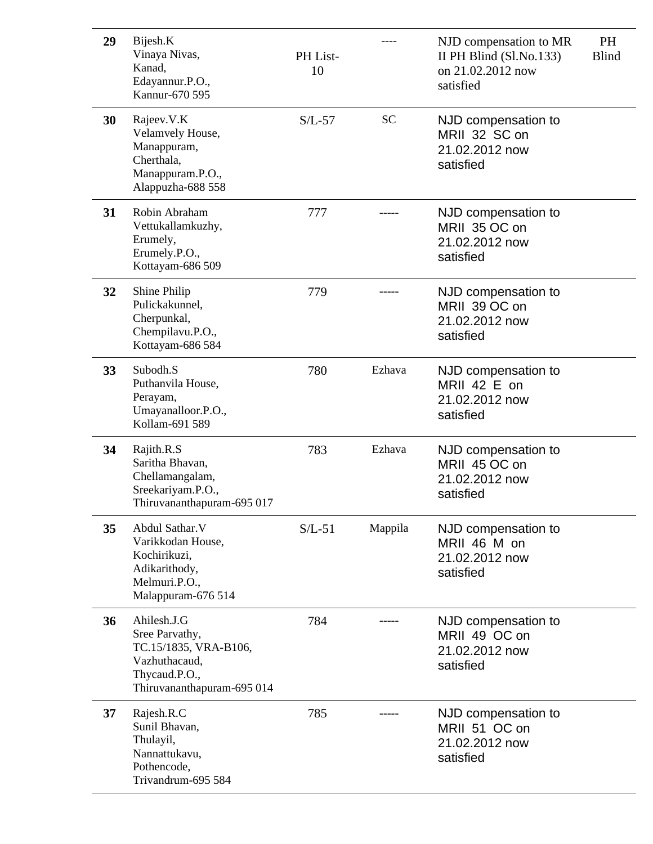| 29 | Bijesh.K<br>Vinaya Nivas,<br>Kanad,<br>Edayannur.P.O.,<br>Kannur-670 595                                               | PH List-<br>10 |           | NJD compensation to MR<br>II PH Blind (Sl.No.133)<br>on 21.02.2012 now<br>satisfied | PH<br><b>Blind</b> |
|----|------------------------------------------------------------------------------------------------------------------------|----------------|-----------|-------------------------------------------------------------------------------------|--------------------|
| 30 | Rajeev.V.K<br>Velamvely House,<br>Manappuram,<br>Cherthala,<br>Manappuram.P.O.,<br>Alappuzha-688 558                   | $S/L-57$       | <b>SC</b> | NJD compensation to<br>MRII 32 SC on<br>21.02.2012 now<br>satisfied                 |                    |
| 31 | Robin Abraham<br>Vettukallamkuzhy,<br>Erumely,<br>Erumely.P.O.,<br>Kottayam-686 509                                    | 777            |           | NJD compensation to<br>MRII 35 OC on<br>21.02.2012 now<br>satisfied                 |                    |
| 32 | <b>Shine Philip</b><br>Pulickakunnel,<br>Cherpunkal,<br>Chempilavu.P.O.,<br>Kottayam-686 584                           | 779            |           | NJD compensation to<br>MRII 39 OC on<br>21.02.2012 now<br>satisfied                 |                    |
| 33 | Subodh.S<br>Puthanvila House,<br>Perayam,<br>Umayanalloor.P.O.,<br>Kollam-691 589                                      | 780            | Ezhava    | NJD compensation to<br>MRII 42 E on<br>21.02.2012 now<br>satisfied                  |                    |
| 34 | Rajith.R.S<br>Saritha Bhavan,<br>Chellamangalam,<br>Sreekariyam.P.O.,<br>Thiruvananthapuram-695 017                    | 783            | Ezhava    | NJD compensation to<br>MRII 45 OC on<br>21.02.2012 now<br>satisfied                 |                    |
| 35 | Abdul Sathar. V<br>Varikkodan House,<br>Kochirikuzi,<br>Adikarithody,<br>Melmuri.P.O.,<br>Malappuram-676 514           | $S/L-51$       | Mappila   | NJD compensation to<br>MRII 46 M on<br>21.02.2012 now<br>satisfied                  |                    |
| 36 | Ahilesh.J.G<br>Sree Parvathy,<br>TC.15/1835, VRA-B106,<br>Vazhuthacaud,<br>Thycaud.P.O.,<br>Thiruvananthapuram-695 014 | 784            |           | NJD compensation to<br>MRII 49 OC on<br>21.02.2012 now<br>satisfied                 |                    |
| 37 | Rajesh.R.C<br>Sunil Bhavan,<br>Thulayil,<br>Nannattukavu,<br>Pothencode,<br>Trivandrum-695 584                         | 785            |           | NJD compensation to<br>MRII 51 OC on<br>21.02.2012 now<br>satisfied                 |                    |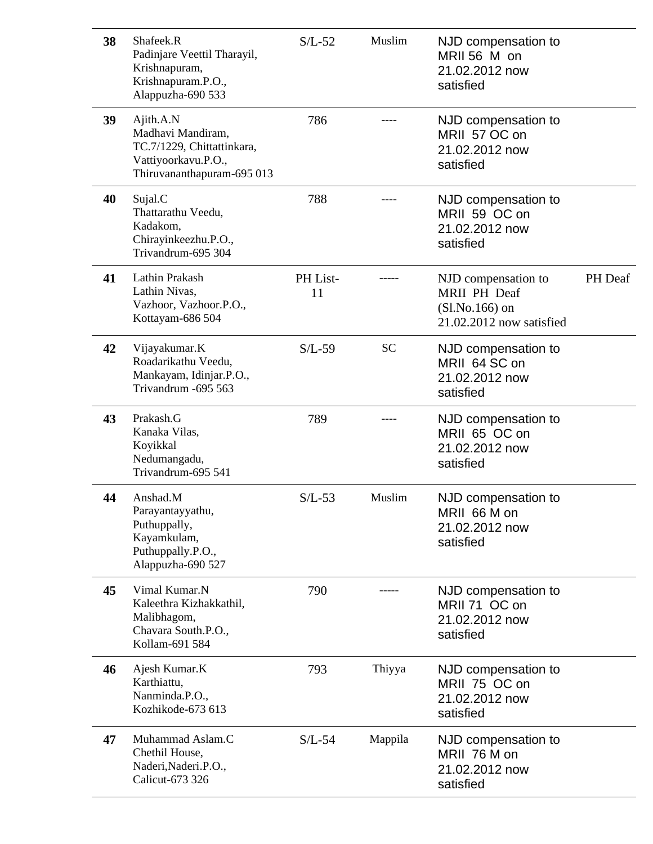| 38 | Shafeek.R<br>Padinjare Veettil Tharayil,<br>Krishnapuram,<br>Krishnapuram.P.O.,<br>Alappuzha-690 533              | $S/L-52$       | Muslim    | NJD compensation to<br>MRII 56 M on<br>21.02.2012 now<br>satisfied                         |                |
|----|-------------------------------------------------------------------------------------------------------------------|----------------|-----------|--------------------------------------------------------------------------------------------|----------------|
| 39 | Ajith.A.N<br>Madhavi Mandiram,<br>TC.7/1229, Chittattinkara,<br>Vattiyoorkavu.P.O.,<br>Thiruvananthapuram-695 013 | 786            |           | NJD compensation to<br>MRII 57 OC on<br>21.02.2012 now<br>satisfied                        |                |
| 40 | Sujal.C<br>Thattarathu Veedu,<br>Kadakom,<br>Chirayinkeezhu.P.O.,<br>Trivandrum-695 304                           | 788            |           | NJD compensation to<br>MRII 59 OC on<br>21.02.2012 now<br>satisfied                        |                |
| 41 | Lathin Prakash<br>Lathin Nivas,<br>Vazhoor, Vazhoor.P.O.,<br>Kottayam-686 504                                     | PH List-<br>11 |           | NJD compensation to<br><b>MRII PH Deaf</b><br>$(Sl.No.166)$ on<br>21.02.2012 now satisfied | <b>PH</b> Deaf |
| 42 | Vijayakumar.K<br>Roadarikathu Veedu,<br>Mankayam, Idinjar.P.O.,<br>Trivandrum -695 563                            | $S/L-59$       | <b>SC</b> | NJD compensation to<br>MRII 64 SC on<br>21.02.2012 now<br>satisfied                        |                |
| 43 | Prakash.G<br>Kanaka Vilas,<br>Koyikkal<br>Nedumangadu,<br>Trivandrum-695 541                                      | 789            |           | NJD compensation to<br>MRII 65 OC on<br>21.02.2012 now<br>satisfied                        |                |
| 44 | Anshad.M<br>Parayantayyathu,<br>Puthuppally,<br>Kayamkulam,<br>Puthuppally.P.O.,<br>Alappuzha-690 527             | $S/L-53$       | Muslim    | NJD compensation to<br>MRII 66 M on<br>21.02.2012 now<br>satisfied                         |                |
| 45 | Vimal Kumar.N<br>Kaleethra Kizhakkathil,<br>Malibhagom,<br>Chavara South.P.O.,<br>Kollam-691 584                  | 790            |           | NJD compensation to<br>MRII 71 OC on<br>21.02.2012 now<br>satisfied                        |                |
| 46 | Ajesh Kumar.K<br>Karthiattu,<br>Nanminda.P.O.,<br>Kozhikode-673 613                                               | 793            | Thiyya    | NJD compensation to<br>MRII 75 OC on<br>21.02.2012 now<br>satisfied                        |                |
| 47 | Muhammad Aslam.C<br>Chethil House,<br>Naderi, Naderi.P.O.,<br>Calicut-673 326                                     | $S/L-54$       | Mappila   | NJD compensation to<br>MRII 76 M on<br>21.02.2012 now<br>satisfied                         |                |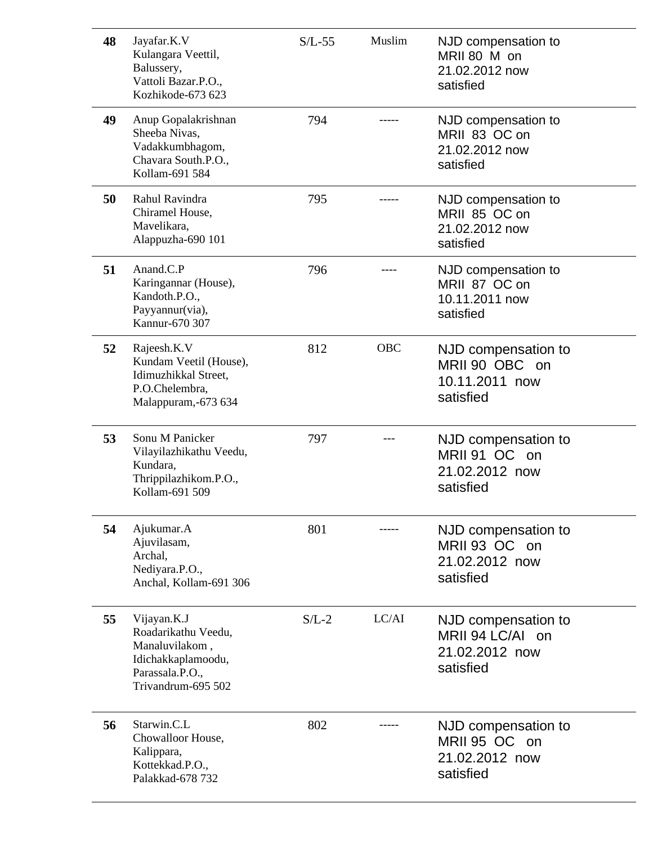| 48 | Jayafar.K.V<br>Kulangara Veettil,<br>Balussery,<br>Vattoli Bazar.P.O.,<br>Kozhikode-673 623                         | $S/L-55$ | Muslim     | NJD compensation to<br>MRII 80 M on<br>21.02.2012 now<br>satisfied     |
|----|---------------------------------------------------------------------------------------------------------------------|----------|------------|------------------------------------------------------------------------|
| 49 | Anup Gopalakrishnan<br>Sheeba Nivas,<br>Vadakkumbhagom,<br>Chavara South.P.O.,<br>Kollam-691 584                    | 794      |            | NJD compensation to<br>MRII 83 OC on<br>21.02.2012 now<br>satisfied    |
| 50 | Rahul Ravindra<br>Chiramel House,<br>Mavelikara,<br>Alappuzha-690 101                                               | 795      |            | NJD compensation to<br>MRII 85 OC on<br>21.02.2012 now<br>satisfied    |
| 51 | Anand.C.P<br>Karingannar (House),<br>Kandoth.P.O.,<br>Payyannur(via),<br>Kannur-670 307                             | 796      |            | NJD compensation to<br>MRII 87 OC on<br>10.11.2011 now<br>satisfied    |
| 52 | Rajeesh.K.V<br>Kundam Veetil (House),<br>Idimuzhikkal Street,<br>P.O.Chelembra,<br>Malappuram,-673 634              | 812      | <b>OBC</b> | NJD compensation to<br>MRII 90 OBC on<br>10.11.2011 now<br>satisfied   |
| 53 | Sonu M Panicker<br>Vilayilazhikathu Veedu,<br>Kundara,<br>Thrippilazhikom.P.O.,<br>Kollam-691 509                   | 797      |            | NJD compensation to<br>MRII 91 OC on<br>21.02.2012 now<br>satisfied    |
| 54 | Ajukumar.A<br>Ajuvilasam,<br>Archal,<br>Nediyara.P.O.,<br>Anchal, Kollam-691 306                                    | 801      |            | NJD compensation to<br>MRII 93 OC on<br>21.02.2012 now<br>satisfied    |
| 55 | Vijayan.K.J<br>Roadarikathu Veedu,<br>Manaluvilakom,<br>Idichakkaplamoodu,<br>Parassala.P.O.,<br>Trivandrum-695 502 | $S/L-2$  | LC/AI      | NJD compensation to<br>MRII 94 LC/AI on<br>21.02.2012 now<br>satisfied |
| 56 | Starwin.C.L<br>Chowalloor House,<br>Kalippara,<br>Kottekkad.P.O.,<br>Palakkad-678 732                               | 802      |            | NJD compensation to<br>MRII 95 OC on<br>21.02.2012 now<br>satisfied    |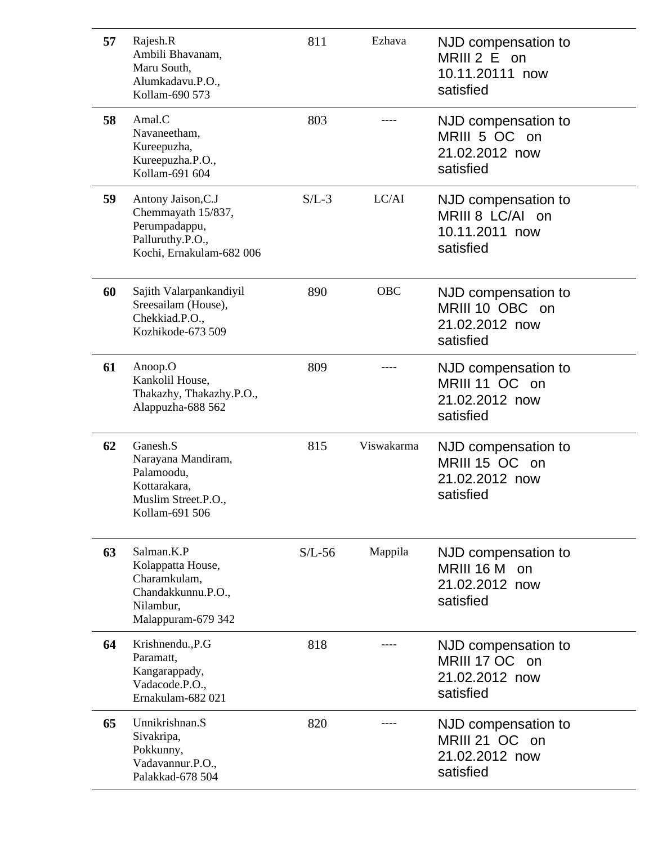| 57 | Rajesh.R<br>Ambili Bhavanam,<br>Maru South,<br>Alumkadavu.P.O.,<br>Kollam-690 573                         | 811      | Ezhava     | NJD compensation to<br>MRIII 2 E on<br>10.11.20111 now<br>satisfied           |
|----|-----------------------------------------------------------------------------------------------------------|----------|------------|-------------------------------------------------------------------------------|
| 58 | Amal.C<br>Navaneetham,<br>Kureepuzha,<br>Kureepuzha.P.O.,<br>Kollam-691 604                               | 803      |            | NJD compensation to<br>MRIII 5 OC on<br>21.02.2012 now<br>satisfied           |
| 59 | Antony Jaison, C.J<br>Chemmayath 15/837,<br>Perumpadappu,<br>Palluruthy.P.O.,<br>Kochi, Ernakulam-682 006 | $S/L-3$  | LC/AI      | NJD compensation to<br>MRIII 8 LC/AI on<br>10.11.2011 now<br>satisfied        |
| 60 | Sajith Valarpankandiyil<br>Sreesailam (House),<br>Chekkiad.P.O.,<br>Kozhikode-673 509                     | 890      | <b>OBC</b> | NJD compensation to<br>MRIII 10 OBC on<br>21.02.2012 now<br>satisfied         |
| 61 | Anoop.O<br>Kankolil House,<br>Thakazhy, Thakazhy.P.O.,<br>Alappuzha-688 562                               | 809      |            | NJD compensation to<br>MRIII 11 OC on<br>21.02.2012 now<br>satisfied          |
| 62 | Ganesh.S<br>Narayana Mandiram,<br>Palamoodu,<br>Kottarakara,<br>Muslim Street.P.O.,<br>Kollam-691 506     | 815      | Viswakarma | NJD compensation to<br>MRIII 15 OC on<br>21.02.2012 now<br>satisfied          |
| 63 | Salman, K.P<br>Kolappatta House,<br>Charamkulam,<br>Chandakkunnu.P.O.,<br>Nilambur,<br>Malappuram-679 342 | $S/L-56$ | Mappila    | NJD compensation to<br><b>MRIII 16 M</b><br>on<br>21.02.2012 now<br>satisfied |
| 64 | Krishnendu., P.G<br>Paramatt,<br>Kangarappady,<br>Vadacode.P.O.,<br>Ernakulam-682 021                     | 818      |            | NJD compensation to<br>MRIII 17 OC on<br>21.02.2012 now<br>satisfied          |
| 65 | Unnikrishnan.S<br>Sivakripa,<br>Pokkunny,<br>Vadavannur.P.O.,<br>Palakkad-678 504                         | 820      |            | NJD compensation to<br>MRIII 21 OC on<br>21.02.2012 now<br>satisfied          |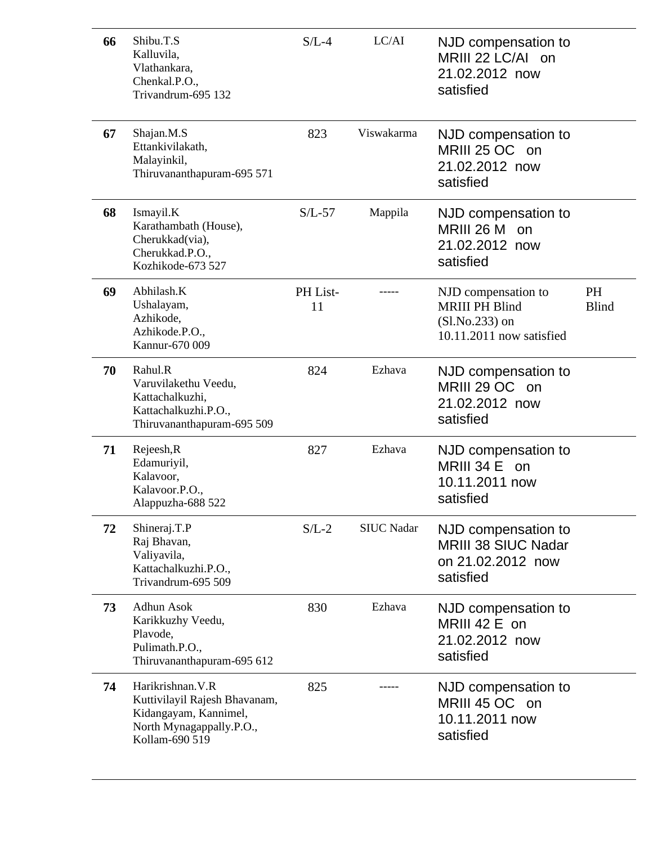| 66 | Shibu.T.S<br>Kalluvila,<br>Vlathankara,<br>Chenkal.P.O.,<br>Trivandrum-695 132                                            | $S/L-4$        | LC/AI             | NJD compensation to<br>MRIII 22 LC/AI on<br>21.02.2012 now<br>satisfied                      |                    |
|----|---------------------------------------------------------------------------------------------------------------------------|----------------|-------------------|----------------------------------------------------------------------------------------------|--------------------|
| 67 | Shajan.M.S<br>Ettankivilakath,<br>Malayinkil,<br>Thiruvananthapuram-695 571                                               | 823            | Viswakarma        | NJD compensation to<br>MRIII 25 OC on<br>21.02.2012 now<br>satisfied                         |                    |
| 68 | Ismayil.K<br>Karathambath (House),<br>Cherukkad(via),<br>Cherukkad.P.O.,<br>Kozhikode-673 527                             | $S/L-57$       | Mappila           | NJD compensation to<br>MRIII 26 M<br>on<br>21.02.2012 now<br>satisfied                       |                    |
| 69 | Abhilash.K<br>Ushalayam,<br>Azhikode,<br>Azhikode.P.O.,<br>Kannur-670 009                                                 | PH List-<br>11 |                   | NJD compensation to<br><b>MRIII PH Blind</b><br>$(Sl.No.233)$ on<br>10.11.2011 now satisfied | PH<br><b>Blind</b> |
| 70 | Rahul.R<br>Varuvilakethu Veedu,<br>Kattachalkuzhi,<br>Kattachalkuzhi.P.O.,<br>Thiruvananthapuram-695 509                  | 824            | Ezhava            | NJD compensation to<br>MRIII 29 OC on<br>21.02.2012 now<br>satisfied                         |                    |
| 71 | Rejeesh, R<br>Edamuriyil,<br>Kalavoor,<br>Kalavoor.P.O.,<br>Alappuzha-688 522                                             | 827            | Ezhava            | NJD compensation to<br><b>MRIII 34 E</b><br>on<br>10.11.2011 now<br>satisfied                |                    |
| 72 | Shineraj.T.P<br>Raj Bhavan,<br>Valiyavila,<br>Kattachalkuzhi.P.O.,<br>Trivandrum-695 509                                  | $S/L-2$        | <b>SIUC Nadar</b> | NJD compensation to<br><b>MRIII 38 SIUC Nadar</b><br>on 21.02.2012 now<br>satisfied          |                    |
| 73 | <b>Adhun Asok</b><br>Karikkuzhy Veedu,<br>Plavode,<br>Pulimath.P.O.,<br>Thiruvananthapuram-695 612                        | 830            | Ezhava            | NJD compensation to<br>MRIII 42 E on<br>21.02.2012 now<br>satisfied                          |                    |
| 74 | Harikrishnan. V.R<br>Kuttivilayil Rajesh Bhavanam,<br>Kidangayam, Kannimel,<br>North Mynagappally.P.O.,<br>Kollam-690 519 | 825            |                   | NJD compensation to<br>MRIII 45 OC on<br>10.11.2011 now<br>satisfied                         |                    |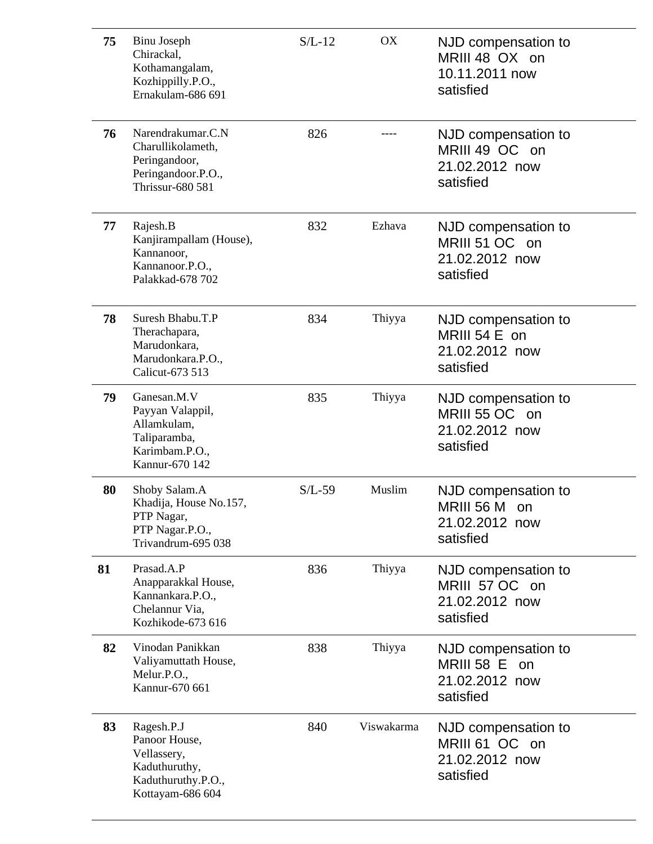| 75 | Binu Joseph<br>Chirackal,<br>Kothamangalam,<br>Kozhippilly.P.O.,<br>Ernakulam-686 691                 | $S/L-12$ | OX         | NJD compensation to<br>MRIII 48 OX on<br>10.11.2011 now<br>satisfied          |
|----|-------------------------------------------------------------------------------------------------------|----------|------------|-------------------------------------------------------------------------------|
| 76 | Narendrakumar.C.N<br>Charullikolameth,<br>Peringandoor,<br>Peringandoor.P.O.,<br>Thrissur-680 581     | 826      |            | NJD compensation to<br>MRIII 49 OC on<br>21.02.2012 now<br>satisfied          |
| 77 | Rajesh.B<br>Kanjirampallam (House),<br>Kannanoor,<br>Kannanoor.P.O.,<br>Palakkad-678 702              | 832      | Ezhava     | NJD compensation to<br>MRIII 51 OC on<br>21.02.2012 now<br>satisfied          |
| 78 | Suresh Bhabu.T.P<br>Therachapara,<br>Marudonkara,<br>Marudonkara.P.O.,<br>Calicut-673 513             | 834      | Thiyya     | NJD compensation to<br>MRIII 54 E on<br>21.02.2012 now<br>satisfied           |
| 79 | Ganesan.M.V<br>Payyan Valappil,<br>Allamkulam,<br>Taliparamba,<br>Karimbam.P.O.,<br>Kannur-670 142    | 835      | Thiyya     | NJD compensation to<br>MRIII 55 OC on<br>21.02.2012 now<br>satisfied          |
| 80 | Shoby Salam.A<br>Khadija, House No.157,<br>PTP Nagar,<br>PTP Nagar.P.O.,<br>Trivandrum-695 038        | $S/L-59$ | Muslim     | NJD compensation to<br>MRIII 56 M on<br>21.02.2012 now<br>satisfied           |
| 81 | Prasad.A.P<br>Anapparakkal House,<br>Kannankara.P.O.,<br>Chelannur Via,<br>Kozhikode-673 616          | 836      | Thiyya     | NJD compensation to<br>MRIII 57 OC on<br>21.02.2012 now<br>satisfied          |
| 82 | Vinodan Panikkan<br>Valiyamuttath House,<br>Melur.P.O.,<br>Kannur-670 661                             | 838      | Thiyya     | NJD compensation to<br><b>MRIII 58 E</b><br>on<br>21.02.2012 now<br>satisfied |
| 83 | Ragesh.P.J<br>Panoor House,<br>Vellassery,<br>Kaduthuruthy,<br>Kaduthuruthy.P.O.,<br>Kottayam-686 604 | 840      | Viswakarma | NJD compensation to<br>MRIII 61 OC on<br>21.02.2012 now<br>satisfied          |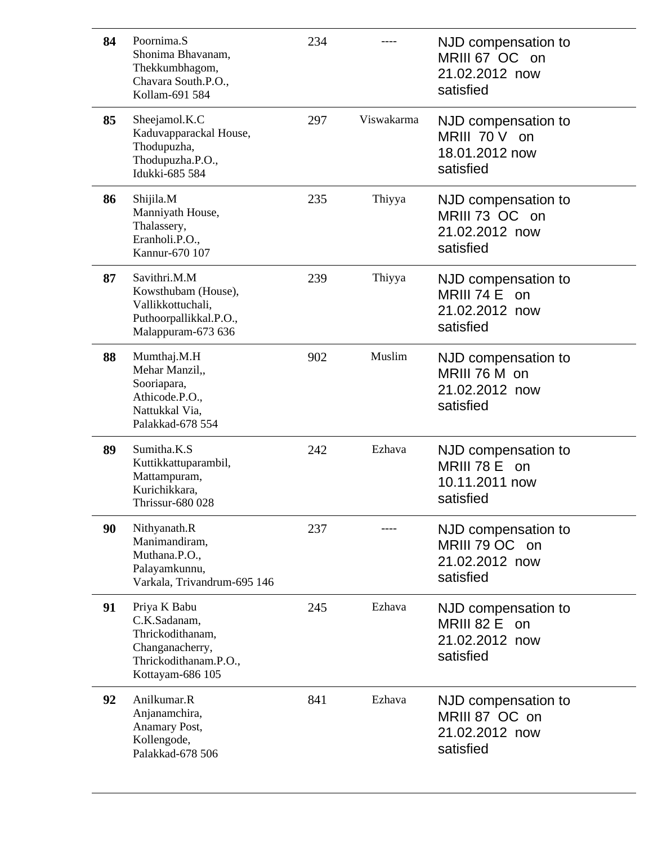| 84 | Poornima.S<br>Shonima Bhavanam,<br>Thekkumbhagom,<br>Chavara South.P.O.,<br>Kollam-691 584                       | 234 |            | NJD compensation to<br>MRIII 67 OC on<br>21.02.2012 now<br>satisfied  |
|----|------------------------------------------------------------------------------------------------------------------|-----|------------|-----------------------------------------------------------------------|
| 85 | Sheejamol.K.C<br>Kaduvapparackal House,<br>Thodupuzha,<br>Thodupuzha.P.O.,<br>Idukki-685 584                     | 297 | Viswakarma | NJD compensation to<br>MRIII 70 V on<br>18.01.2012 now<br>satisfied   |
| 86 | Shijila.M<br>Manniyath House,<br>Thalassery,<br>Eranholi.P.O.,<br>Kannur-670 107                                 | 235 | Thiyya     | NJD compensation to<br>MRIII 73 OC on<br>21.02.2012 now<br>satisfied  |
| 87 | Savithri.M.M<br>Kowsthubam (House),<br>Vallikkottuchali,<br>Puthoorpallikkal.P.O.,<br>Malappuram-673 636         | 239 | Thiyya     | NJD compensation to<br>MRIII 74 $E$ on<br>21.02.2012 now<br>satisfied |
| 88 | Mumthaj.M.H<br>Mehar Manzil,,<br>Sooriapara,<br>Athicode.P.O.,<br>Nattukkal Via,<br>Palakkad-678 554             | 902 | Muslim     | NJD compensation to<br>MRIII 76 M on<br>21.02.2012 now<br>satisfied   |
| 89 | Sumitha.K.S<br>Kuttikkattuparambil,<br>Mattampuram,<br>Kurichikkara,<br><b>Thrissur-680 028</b>                  | 242 | Ezhava     | NJD compensation to<br>MRIII 78 E on<br>10.11.2011 now<br>satisfied   |
| 90 | Nithyanath.R<br>Manimandiram,<br>Muthana.P.O.,<br>Palayamkunnu,<br>Varkala, Trivandrum-695 146                   | 237 |            | NJD compensation to<br>MRIII 79 OC on<br>21.02.2012 now<br>satisfied  |
| 91 | Priya K Babu<br>C.K.Sadanam,<br>Thrickodithanam,<br>Changanacherry,<br>Thrickodithanam.P.O.,<br>Kottayam-686 105 | 245 | Ezhava     | NJD compensation to<br>MRIII 82 E on<br>21.02.2012 now<br>satisfied   |
| 92 | Anilkumar.R<br>Anjanamchira,<br>Anamary Post,<br>Kollengode,<br>Palakkad-678 506                                 | 841 | Ezhava     | NJD compensation to<br>MRIII 87 OC on<br>21.02.2012 now<br>satisfied  |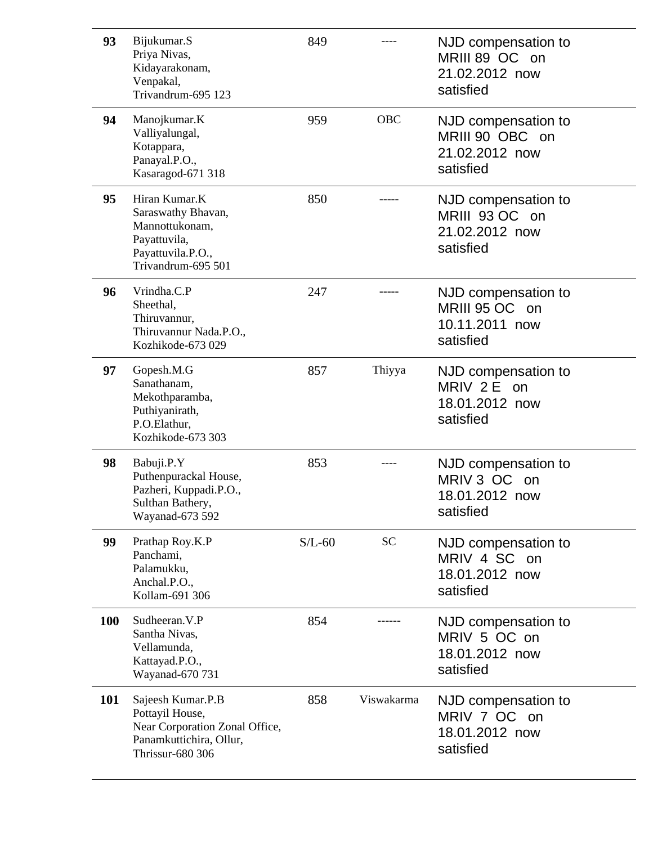| 93  | Bijukumar.S<br>Priya Nivas,<br>Kidayarakonam,<br>Venpakal,<br>Trivandrum-695 123                                             | 849      |            | NJD compensation to<br>MRIII 89 OC on<br>21.02.2012 now<br>satisfied  |
|-----|------------------------------------------------------------------------------------------------------------------------------|----------|------------|-----------------------------------------------------------------------|
| 94  | Manojkumar.K<br>Valliyalungal,<br>Kotappara,<br>Panayal.P.O.,<br>Kasaragod-671 318                                           | 959      | <b>OBC</b> | NJD compensation to<br>MRIII 90 OBC on<br>21.02.2012 now<br>satisfied |
| 95  | Hiran Kumar.K<br>Saraswathy Bhavan,<br>Mannottukonam,<br>Payattuvila,<br>Payattuvila.P.O.,<br>Trivandrum-695 501             | 850      |            | NJD compensation to<br>MRIII 93 OC on<br>21.02.2012 now<br>satisfied  |
| 96  | Vrindha.C.P<br>Sheethal,<br>Thiruvannur,<br>Thiruvannur Nada.P.O.,<br>Kozhikode-673 029                                      | 247      |            | NJD compensation to<br>MRIII 95 OC on<br>10.11.2011 now<br>satisfied  |
| 97  | Gopesh.M.G<br>Sanathanam,<br>Mekothparamba,<br>Puthiyanirath,<br>P.O.Elathur,<br>Kozhikode-673 303                           | 857      | Thiyya     | NJD compensation to<br>MRIV 2 E on<br>18.01.2012 now<br>satisfied     |
| 98  | Babuji.P.Y<br>Puthenpurackal House,<br>Pazheri, Kuppadi.P.O.,<br>Sulthan Bathery,<br>Wayanad-673 592                         | 853      |            | NJD compensation to<br>MRIV 3 OC<br>on<br>18.01.2012 now<br>satisfied |
| 99  | Prathap Roy.K.P<br>Panchami,<br>Palamukku,<br>Anchal.P.O.,<br>Kollam-691 306                                                 | $S/L-60$ | <b>SC</b>  | NJD compensation to<br>MRIV 4 SC on<br>18.01.2012 now<br>satisfied    |
| 100 | Sudheeran. V.P<br>Santha Nivas,<br>Vellamunda,<br>Kattayad.P.O.,<br>Wayanad-670 731                                          | 854      |            | NJD compensation to<br>MRIV 5 OC on<br>18.01.2012 now<br>satisfied    |
| 101 | Sajeesh Kumar.P.B<br>Pottayil House,<br>Near Corporation Zonal Office,<br>Panamkuttichira, Ollur,<br><b>Thrissur-680 306</b> | 858      | Viswakarma | NJD compensation to<br>MRIV 7 OC on<br>18.01.2012 now<br>satisfied    |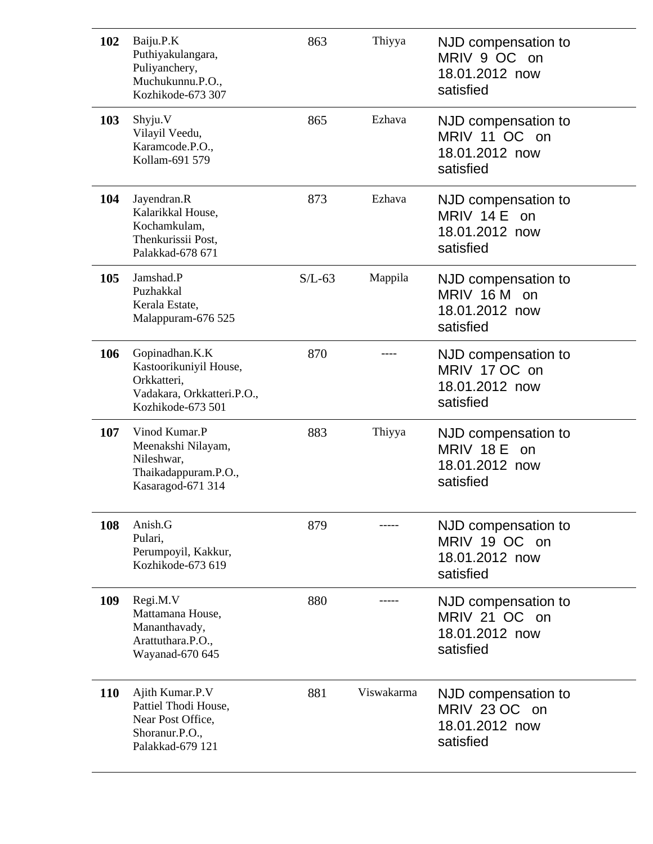| 102        | Baiju.P.K<br>Puthiyakulangara,<br>Puliyanchery,<br>Muchukunnu.P.O.,<br>Kozhikode-673 307                   | 863      | Thiyya     | NJD compensation to<br>MRIV 9 OC on<br>18.01.2012 now<br>satisfied  |
|------------|------------------------------------------------------------------------------------------------------------|----------|------------|---------------------------------------------------------------------|
| 103        | Shyju.V<br>Vilayil Veedu,<br>Karamcode.P.O.,<br>Kollam-691 579                                             | 865      | Ezhava     | NJD compensation to<br>MRIV 11 OC on<br>18.01.2012 now<br>satisfied |
| 104        | Jayendran.R<br>Kalarikkal House,<br>Kochamkulam,<br>Thenkurissii Post,<br>Palakkad-678 671                 | 873      | Ezhava     | NJD compensation to<br>MRIV 14 E on<br>18.01.2012 now<br>satisfied  |
| 105        | Jamshad.P<br>Puzhakkal<br>Kerala Estate,<br>Malappuram-676 525                                             | $S/L-63$ | Mappila    | NJD compensation to<br>MRIV 16 M on<br>18.01.2012 now<br>satisfied  |
| 106        | Gopinadhan.K.K<br>Kastoorikuniyil House,<br>Orkkatteri,<br>Vadakara, Orkkatteri.P.O.,<br>Kozhikode-673 501 | 870      |            | NJD compensation to<br>MRIV 17 OC on<br>18.01.2012 now<br>satisfied |
| 107        | Vinod Kumar.P<br>Meenakshi Nilayam,<br>Nileshwar,<br>Thaikadappuram.P.O.,<br>Kasaragod-671 314             | 883      | Thiyya     | NJD compensation to<br>MRIV 18 E on<br>18.01.2012 now<br>satisfied  |
| 108        | Anish.G<br>Pulari,<br>Perumpoyil, Kakkur,<br>Kozhikode-673 619                                             | 879      |            | NJD compensation to<br>MRIV 19 OC on<br>18.01.2012 now<br>satisfied |
| 109        | Regi.M.V<br>Mattamana House,<br>Mananthavady,<br>Arattuthara.P.O.,<br>Wayanad-670 645                      | 880      |            | NJD compensation to<br>MRIV 21 OC on<br>18.01.2012 now<br>satisfied |
| <b>110</b> | Ajith Kumar.P.V<br>Pattiel Thodi House,<br>Near Post Office,<br>Shoranur.P.O.,<br>Palakkad-679 121         | 881      | Viswakarma | NJD compensation to<br>MRIV 23 OC on<br>18.01.2012 now<br>satisfied |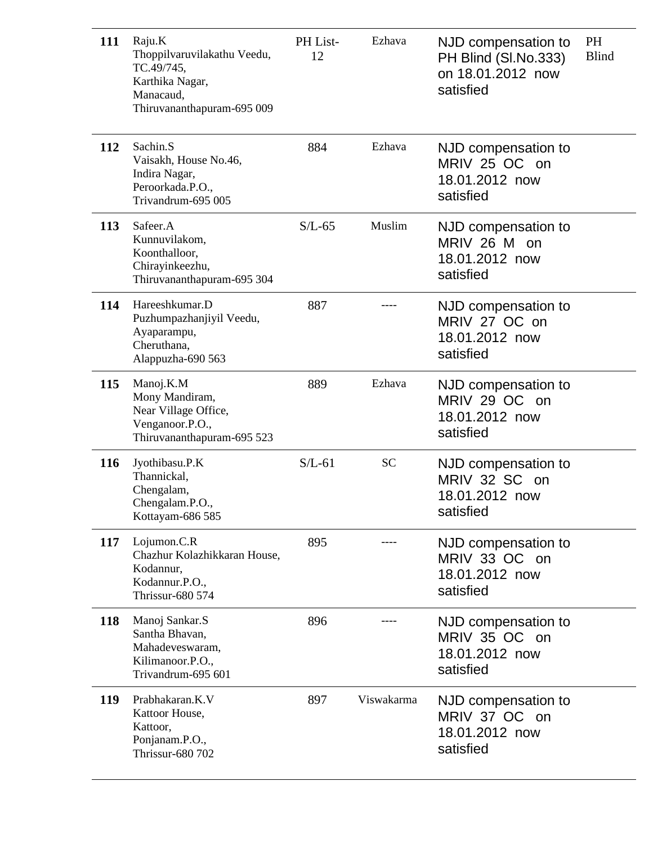| 111 | Raju.K<br>Thoppilvaruvilakathu Veedu,<br>TC.49/745,<br>Karthika Nagar,<br>Manacaud,<br>Thiruvananthapuram-695 009 | PH List-<br>12 | Ezhava     | NJD compensation to<br>PH Blind (SI.No.333)<br>on 18.01.2012 now<br>satisfied | PH<br><b>Blind</b> |
|-----|-------------------------------------------------------------------------------------------------------------------|----------------|------------|-------------------------------------------------------------------------------|--------------------|
| 112 | Sachin.S<br>Vaisakh, House No.46,<br>Indira Nagar,<br>Peroorkada.P.O.,<br>Trivandrum-695 005                      | 884            | Ezhava     | NJD compensation to<br>MRIV 25 OC on<br>18.01.2012 now<br>satisfied           |                    |
| 113 | Safeer.A<br>Kunnuvilakom,<br>Koonthalloor,<br>Chirayinkeezhu,<br>Thiruvananthapuram-695 304                       | $S/L-65$       | Muslim     | NJD compensation to<br>MRIV 26 M on<br>18.01.2012 now<br>satisfied            |                    |
| 114 | Hareeshkumar.D<br>Puzhumpazhanjiyil Veedu,<br>Ayaparampu,<br>Cheruthana,<br>Alappuzha-690 563                     | 887            |            | NJD compensation to<br>MRIV 27 OC on<br>18.01.2012 now<br>satisfied           |                    |
| 115 | Manoj.K.M<br>Mony Mandiram,<br>Near Village Office,<br>Venganoor.P.O.,<br>Thiruvananthapuram-695 523              | 889            | Ezhava     | NJD compensation to<br>MRIV 29 OC on<br>18.01.2012 now<br>satisfied           |                    |
| 116 | Jyothibasu.P.K<br>Thannickal,<br>Chengalam,<br>Chengalam.P.O.,<br>Kottayam-686 585                                | $S/L-61$       | <b>SC</b>  | NJD compensation to<br>MRIV 32 SC on<br>18.01.2012 now<br>satisfied           |                    |
| 117 | Lojumon.C.R<br>Chazhur Kolazhikkaran House,<br>Kodannur,<br>Kodannur.P.O.,<br>Thrissur-680 574                    | 895            |            | NJD compensation to<br>MRIV 33 OC on<br>18.01.2012 now<br>satisfied           |                    |
| 118 | Manoj Sankar.S<br>Santha Bhavan,<br>Mahadeveswaram,<br>Kilimanoor.P.O.,<br>Trivandrum-695 601                     | 896            |            | NJD compensation to<br>MRIV 35 OC on<br>18.01.2012 now<br>satisfied           |                    |
| 119 | Prabhakaran.K.V<br>Kattoor House,<br>Kattoor,<br>Ponjanam.P.O.,<br>Thrissur-680 702                               | 897            | Viswakarma | NJD compensation to<br>MRIV 37 OC on<br>18.01.2012 now<br>satisfied           |                    |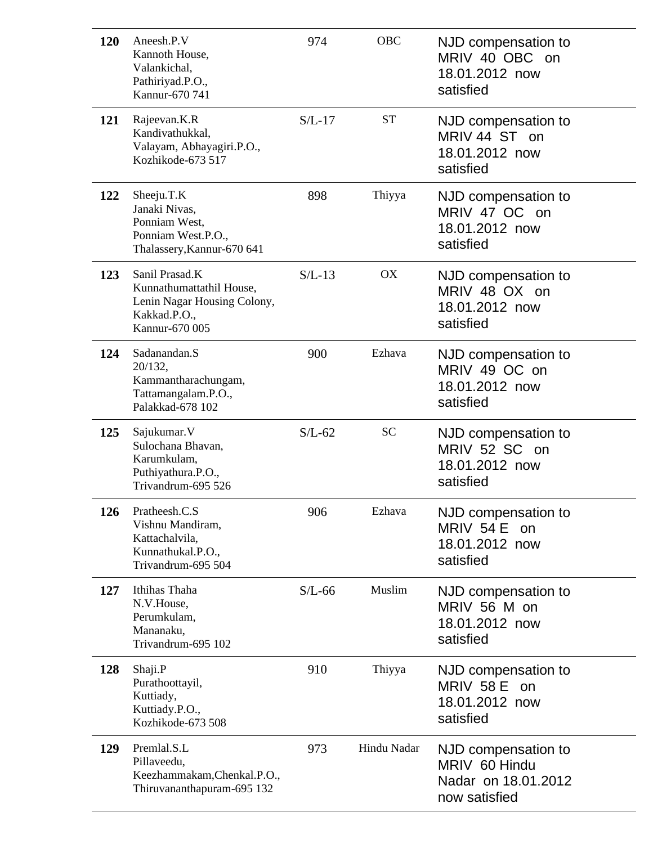| 120 | Aneesh.P.V<br>Kannoth House,<br>Valankichal,<br>Pathiriyad.P.O.,<br>Kannur-670 741                          | 974      | <b>OBC</b>  | NJD compensation to<br>MRIV 40 OBC on<br>18.01.2012 now<br>satisfied         |
|-----|-------------------------------------------------------------------------------------------------------------|----------|-------------|------------------------------------------------------------------------------|
| 121 | Rajeevan.K.R<br>Kandivathukkal,<br>Valayam, Abhayagiri.P.O.,<br>Kozhikode-673 517                           | $S/L-17$ | <b>ST</b>   | NJD compensation to<br>MRIV 44 ST on<br>18.01.2012 now<br>satisfied          |
| 122 | Sheeju.T.K<br>Janaki Nivas,<br>Ponniam West,<br>Ponniam West.P.O.,<br>Thalassery, Kannur-670 641            | 898      | Thiyya      | NJD compensation to<br>MRIV 47 OC on<br>18.01.2012 now<br>satisfied          |
| 123 | Sanil Prasad.K<br>Kunnathumattathil House,<br>Lenin Nagar Housing Colony,<br>Kakkad.P.O.,<br>Kannur-670 005 | $S/L-13$ | <b>OX</b>   | NJD compensation to<br>MRIV 48 OX on<br>18.01.2012 now<br>satisfied          |
| 124 | Sadanandan.S<br>20/132,<br>Kammantharachungam,<br>Tattamangalam.P.O.,<br>Palakkad-678 102                   | 900      | Ezhava      | NJD compensation to<br>MRIV 49 OC on<br>18.01.2012 now<br>satisfied          |
| 125 | Sajukumar. V<br>Sulochana Bhavan,<br>Karumkulam,<br>Puthiyathura.P.O.,<br>Trivandrum-695 526                | $S/L-62$ | <b>SC</b>   | NJD compensation to<br>MRIV 52 SC on<br>18.01.2012 now<br>satisfied          |
| 126 | Pratheesh.C.S<br>Vishnu Mandiram,<br>Kattachalvila,<br>Kunnathukal.P.O.,<br>Trivandrum-695 504              | 906      | Ezhava      | NJD compensation to<br><b>MRIV 54 E</b><br>on<br>18.01.2012 now<br>satisfied |
| 127 | Ithihas Thaha<br>N.V.House,<br>Perumkulam,<br>Mananaku,<br>Trivandrum-695 102                               | $S/L-66$ | Muslim      | NJD compensation to<br>MRIV 56 M on<br>18.01.2012 now<br>satisfied           |
| 128 | Shaji.P<br>Purathoottayil,<br>Kuttiady,<br>Kuttiady.P.O.,<br>Kozhikode-673 508                              | 910      | Thiyya      | NJD compensation to<br>MRIV 58 E on<br>18.01.2012 now<br>satisfied           |
| 129 | Premlal.S.L<br>Pillaveedu,<br>Keezhammakam, Chenkal.P.O.,<br>Thiruvananthapuram-695 132                     | 973      | Hindu Nadar | NJD compensation to<br>MRIV 60 Hindu<br>Nadar on 18.01.2012<br>now satisfied |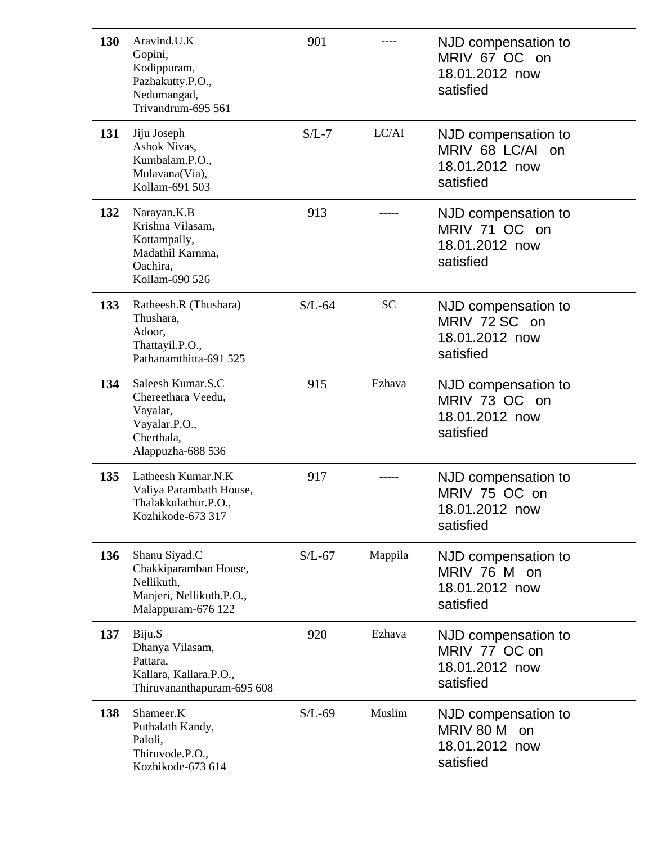| 130 | Aravind.U.K<br>Gopini,<br>Kodippuram,<br>Pazhakutty.P.O.,<br>Nedumangad,<br>Trivandrum-695 561          | 901      |           | NJD compensation to<br>MRIV 67 OC on<br>18.01.2012 now<br>satisfied       |
|-----|---------------------------------------------------------------------------------------------------------|----------|-----------|---------------------------------------------------------------------------|
| 131 | Jiju Joseph<br>Ashok Nivas,<br>Kumbalam.P.O.,<br>Mulavana(Via),<br>Kollam-691 503                       | $S/L-7$  | LC/AI     | NJD compensation to<br>MRIV 68 LC/AI<br>on<br>18.01.2012 now<br>satisfied |
| 132 | Narayan.K.B<br>Krishna Vilasam,<br>Kottampally,<br>Madathil Karnma,<br>Oachira,<br>Kollam-690 526       | 913      |           | NJD compensation to<br>MRIV 71 OC on<br>18.01.2012 now<br>satisfied       |
| 133 | Ratheesh.R (Thushara)<br>Thushara,<br>Adoor,<br>Thattayil.P.O.,<br>Pathanamthitta-691 525               | $S/L-64$ | <b>SC</b> | NJD compensation to<br>MRIV 72 SC on<br>18.01.2012 now<br>satisfied       |
| 134 | Saleesh Kumar.S.C<br>Chereethara Veedu,<br>Vayalar,<br>Vayalar.P.O.,<br>Cherthala,<br>Alappuzha-688 536 | 915      | Ezhava    | NJD compensation to<br>MRIV 73 OC on<br>18.01.2012 now<br>satisfied       |
| 135 | Latheesh Kumar.N.K<br>Valiya Parambath House,<br>Thalakkulathur.P.O.,<br>Kozhikode-673 317              | 917      |           | NJD compensation to<br>MRIV 75 OC on<br>18.01.2012 now<br>satisfied       |
| 136 | Shanu Siyad.C<br>Chakkiparamban House,<br>Nellikuth,<br>Manjeri, Nellikuth.P.O.,<br>Malappuram-676 122  | $S/L-67$ | Mappila   | NJD compensation to<br>MRIV 76 M on<br>18.01.2012 now<br>satisfied        |
| 137 | Biju.S<br>Dhanya Vilasam,<br>Pattara,<br>Kallara, Kallara.P.O.,<br>Thiruvananthapuram-695 608           | 920      | Ezhava    | NJD compensation to<br>MRIV 77 OC on<br>18.01.2012 now<br>satisfied       |
| 138 | Shameer.K<br>Puthalath Kandy,<br>Paloli,<br>Thiruvode.P.O.,<br>Kozhikode-673 614                        | $S/L-69$ | Muslim    | NJD compensation to<br>MRIV 80 M<br>on<br>18.01.2012 now<br>satisfied     |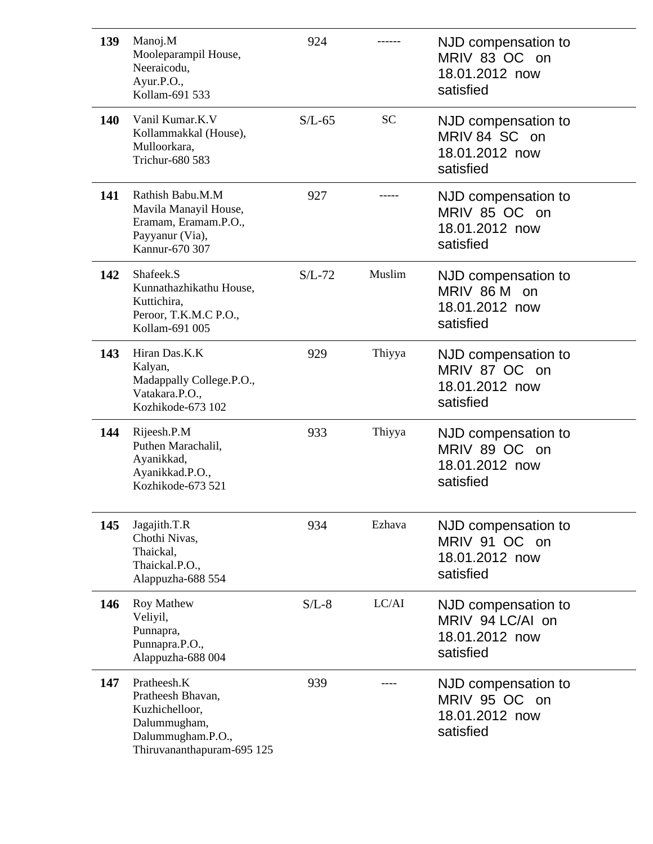| 139        | Manoj.M<br>Mooleparampil House,<br>Neeraicodu,<br>Ayur.P.O.,<br>Kollam-691 533                                        | 924      |           | NJD compensation to<br>MRIV 83 OC on<br>18.01.2012 now<br>satisfied    |
|------------|-----------------------------------------------------------------------------------------------------------------------|----------|-----------|------------------------------------------------------------------------|
| <b>140</b> | Vanil Kumar.K.V<br>Kollammakkal (House),<br>Mulloorkara,<br>Trichur-680 583                                           | $S/L-65$ | <b>SC</b> | NJD compensation to<br>MRIV 84 SC on<br>18.01.2012 now<br>satisfied    |
| 141        | Rathish Babu.M.M<br>Mavila Manayil House,<br>Eramam, Eramam.P.O.,<br>Payyanur (Via),<br>Kannur-670 307                | 927      |           | NJD compensation to<br>MRIV 85 OC on<br>18.01.2012 now<br>satisfied    |
| 142        | Shafeek.S<br>Kunnathazhikathu House,<br>Kuttichira,<br>Peroor, T.K.M.C P.O.,<br>Kollam-691 005                        | $S/L-72$ | Muslim    | NJD compensation to<br>MRIV 86 M on<br>18.01.2012 now<br>satisfied     |
| 143        | Hiran Das.K.K<br>Kalyan,<br>Madappally College.P.O.,<br>Vatakara.P.O.,<br>Kozhikode-673 102                           | 929      | Thiyya    | NJD compensation to<br>MRIV 87 OC on<br>18.01.2012 now<br>satisfied    |
| 144        | Rijeesh.P.M<br>Puthen Marachalil,<br>Ayanikkad,<br>Ayanikkad.P.O.,<br>Kozhikode-673 521                               | 933      | Thiyya    | NJD compensation to<br>MRIV 89 OC on<br>18.01.2012 now<br>satisfied    |
| 145        | Jagajith.T.R<br>Chothi Nivas,<br>Thaickal,<br>Thaickal.P.O.,<br>Alappuzha-688 554                                     | 934      | Ezhava    | NJD compensation to<br>MRIV 91 OC on<br>18.01.2012 now<br>satisfied    |
| 146        | <b>Roy Mathew</b><br>Veliyil,<br>Punnapra,<br>Punnapra.P.O.,<br>Alappuzha-688 004                                     | $S/L-8$  | LC/AI     | NJD compensation to<br>MRIV 94 LC/AI on<br>18.01.2012 now<br>satisfied |
| 147        | Pratheesh.K<br>Pratheesh Bhavan,<br>Kuzhichelloor,<br>Dalummugham,<br>Dalummugham.P.O.,<br>Thiruvananthapuram-695 125 | 939      |           | NJD compensation to<br>MRIV 95 OC on<br>18.01.2012 now<br>satisfied    |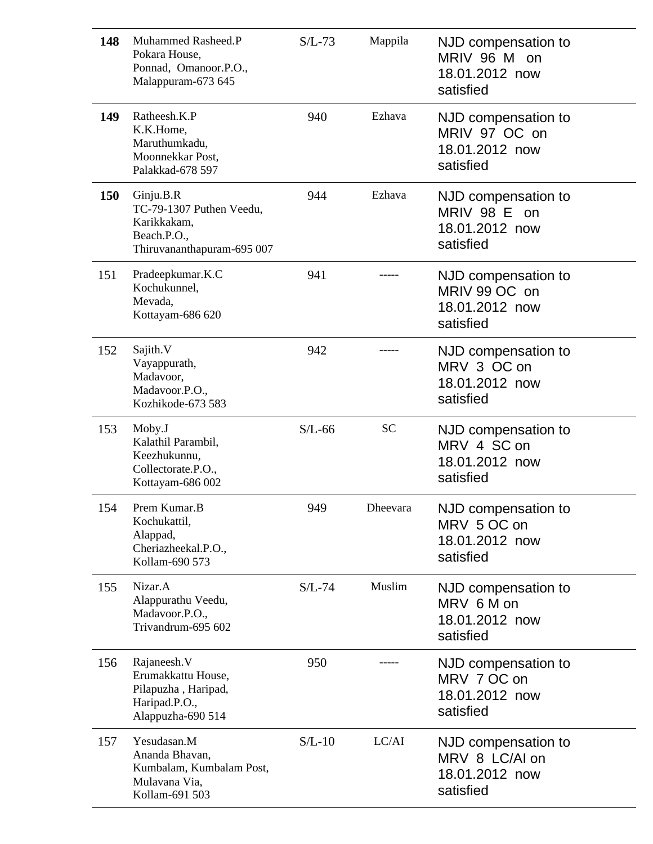| 148 | Muhammed Rasheed.P<br>Pokara House,<br>Ponnad, Omanoor.P.O.,<br>Malappuram-673 645                | $S/L-73$ | Mappila   | NJD compensation to<br>MRIV 96 M on<br>18.01.2012 now<br>satisfied  |
|-----|---------------------------------------------------------------------------------------------------|----------|-----------|---------------------------------------------------------------------|
| 149 | Ratheesh.K.P<br>K.K.Home,<br>Maruthumkadu,<br>Moonnekkar Post,<br>Palakkad-678 597                | 940      | Ezhava    | NJD compensation to<br>MRIV 97 OC on<br>18.01.2012 now<br>satisfied |
| 150 | Ginju.B.R<br>TC-79-1307 Puthen Veedu,<br>Karikkakam,<br>Beach.P.O.,<br>Thiruvananthapuram-695 007 | 944      | Ezhava    | NJD compensation to<br>MRIV 98 E on<br>18.01.2012 now<br>satisfied  |
| 151 | Pradeepkumar.K.C<br>Kochukunnel,<br>Mevada,<br>Kottayam-686 620                                   | 941      |           | NJD compensation to<br>MRIV 99 OC on<br>18.01.2012 now<br>satisfied |
| 152 | Sajith.V<br>Vayappurath,<br>Madavoor,<br>Madavoor.P.O.,<br>Kozhikode-673 583                      | 942      |           | NJD compensation to<br>MRV 3 OC on<br>18.01.2012 now<br>satisfied   |
| 153 | Moby.J<br>Kalathil Parambil,<br>Keezhukunnu,<br>Collectorate.P.O.,<br>Kottayam-686 002            | $S/L-66$ | <b>SC</b> | NJD compensation to<br>MRV 4 SC on<br>18.01.2012 now<br>satisfied   |
| 154 | Prem Kumar.B<br>Kochukattil,<br>Alappad,                                                          | 949      | Dheevara  | NJD compensation to<br>MRV 5 OC on                                  |
|     | Cheriazheekal.P.O.,<br>Kollam-690 573                                                             |          |           | 18.01.2012 now<br>satisfied                                         |
| 155 | Nizar.A<br>Alappurathu Veedu,<br>Madavoor.P.O.,<br>Trivandrum-695 602                             | $S/L-74$ | Muslim    | NJD compensation to<br>MRV 6 M on<br>18.01.2012 now<br>satisfied    |
| 156 | Rajaneesh.V<br>Erumakkattu House,<br>Pilapuzha, Haripad,<br>Haripad.P.O.,<br>Alappuzha-690 514    | 950      |           | NJD compensation to<br>MRV 7 OC on<br>18.01.2012 now<br>satisfied   |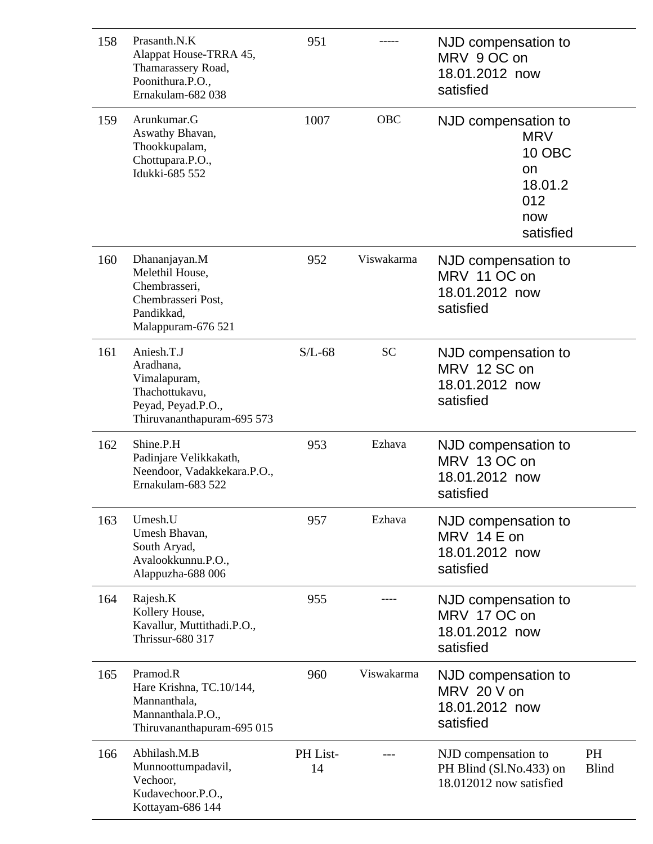| 158 | Prasanth.N.K<br>Alappat House-TRRA 45,<br>Thamarassery Road,<br>Poonithura.P.O.,<br>Ernakulam-682 038         | 951            |            | NJD compensation to<br>MRV 9 OC on<br>18.01.2012 now<br>satisfied                       |                    |
|-----|---------------------------------------------------------------------------------------------------------------|----------------|------------|-----------------------------------------------------------------------------------------|--------------------|
| 159 | Arunkumar.G<br>Aswathy Bhavan,<br>Thookkupalam,<br>Chottupara.P.O.,<br>Idukki-685 552                         | 1007           | <b>OBC</b> | NJD compensation to<br><b>MRV</b><br>10 OBC<br>on<br>18.01.2<br>012<br>now<br>satisfied |                    |
| 160 | Dhananjayan.M<br>Melethil House,<br>Chembrasseri,<br>Chembrasseri Post,<br>Pandikkad,<br>Malappuram-676 521   | 952            | Viswakarma | NJD compensation to<br>MRV 11 OC on<br>18.01.2012 now<br>satisfied                      |                    |
| 161 | Aniesh.T.J<br>Aradhana,<br>Vimalapuram,<br>Thachottukavu,<br>Peyad, Peyad.P.O.,<br>Thiruvananthapuram-695 573 | $S/L-68$       | <b>SC</b>  | NJD compensation to<br>MRV 12 SC on<br>18.01.2012 now<br>satisfied                      |                    |
| 162 | Shine.P.H<br>Padinjare Velikkakath,<br>Neendoor, Vadakkekara.P.O.,<br>Ernakulam-683 522                       | 953            | Ezhava     | NJD compensation to<br>MRV 13 OC on<br>18.01.2012 now<br>satisfied                      |                    |
| 163 | Umesh.U<br>Umesh Bhavan,<br>South Aryad,<br>Avalookkunnu.P.O.,<br>Alappuzha-688 006                           | 957            | Ezhava     | NJD compensation to<br>MRV 14 E on<br>18.01.2012 now<br>satisfied                       |                    |
| 164 | Rajesh.K<br>Kollery House,<br>Kavallur, Muttithadi.P.O.,<br>Thrissur-680 317                                  | 955            |            | NJD compensation to<br>MRV 17 OC on<br>18.01.2012 now<br>satisfied                      |                    |
| 165 | Pramod.R<br>Hare Krishna, TC.10/144,<br>Mannanthala,<br>Mannanthala.P.O.,<br>Thiruvananthapuram-695 015       | 960            | Viswakarma | NJD compensation to<br>MRV 20 V on<br>18.01.2012 now<br>satisfied                       |                    |
| 166 | Abhilash.M.B<br>Munnoottumpadavil,<br>Vechoor,<br>Kudavechoor.P.O.,<br>Kottayam-686 144                       | PH List-<br>14 |            | NJD compensation to<br>PH Blind (Sl.No.433) on<br>18.012012 now satisfied               | PH<br><b>Blind</b> |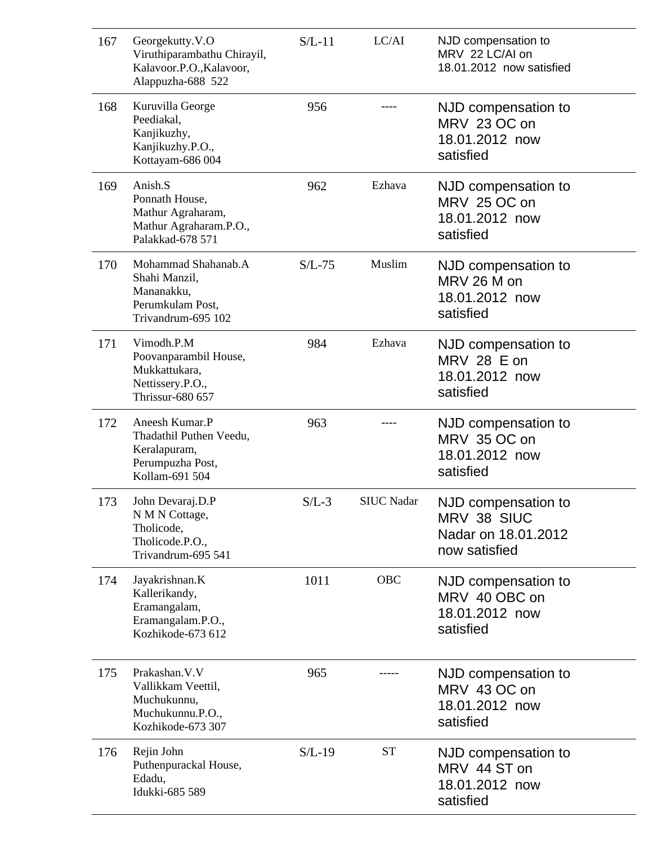| 167 | Georgekutty.V.O<br>Viruthiparambathu Chirayil,<br>Kalavoor.P.O., Kalavoor,<br>Alappuzha-688 522 | $S/L-11$ | LC/AI             | NJD compensation to<br>MRV 22 LC/AI on<br>18.01.2012 now satisfied         |
|-----|-------------------------------------------------------------------------------------------------|----------|-------------------|----------------------------------------------------------------------------|
| 168 | Kuruvilla George<br>Peediakal,<br>Kanjikuzhy,<br>Kanjikuzhy.P.O.,<br>Kottayam-686 004           | 956      |                   | NJD compensation to<br>MRV 23 OC on<br>18.01.2012 now<br>satisfied         |
| 169 | Anish.S<br>Ponnath House,<br>Mathur Agraharam,<br>Mathur Agraharam.P.O.,<br>Palakkad-678 571    | 962      | Ezhava            | NJD compensation to<br>MRV 25 OC on<br>18.01.2012 now<br>satisfied         |
| 170 | Mohammad Shahanab.A<br>Shahi Manzil,<br>Mananakku,<br>Perumkulam Post,<br>Trivandrum-695 102    | $S/L-75$ | Muslim            | NJD compensation to<br>MRV 26 M on<br>18.01.2012 now<br>satisfied          |
| 171 | Vimodh.P.M<br>Poovanparambil House,<br>Mukkattukara,<br>Nettissery.P.O.,<br>Thrissur-680 657    | 984      | Ezhava            | NJD compensation to<br>MRV 28 E on<br>18.01.2012 now<br>satisfied          |
| 172 | Aneesh Kumar.P<br>Thadathil Puthen Veedu,<br>Keralapuram,<br>Perumpuzha Post,<br>Kollam-691 504 | 963      |                   | NJD compensation to<br>MRV 35 OC on<br>18.01.2012 now<br>satisfied         |
| 173 | John Devaraj.D.P<br>N M N Cottage,<br>Tholicode,<br>Tholicode.P.O.,<br>Trivandrum-695 541       | $S/L-3$  | <b>SIUC Nadar</b> | NJD compensation to<br>MRV 38 SIUC<br>Nadar on 18.01.2012<br>now satisfied |
| 174 | Jayakrishnan.K<br>Kallerikandy,<br>Eramangalam,<br>Eramangalam.P.O.,<br>Kozhikode-673 612       | 1011     | <b>OBC</b>        | NJD compensation to<br>MRV 40 OBC on<br>18.01.2012 now<br>satisfied        |
| 175 | Prakashan. V. V<br>Vallikkam Veettil,<br>Muchukunnu,<br>Muchukunnu.P.O.,<br>Kozhikode-673 307   | 965      |                   | NJD compensation to<br>MRV 43 OC on<br>18.01.2012 now<br>satisfied         |
| 176 | Rejin John<br>Puthenpurackal House,<br>Edadu,<br>Idukki-685 589                                 | $S/L-19$ | <b>ST</b>         | NJD compensation to<br>MRV 44 ST on<br>18.01.2012 now<br>satisfied         |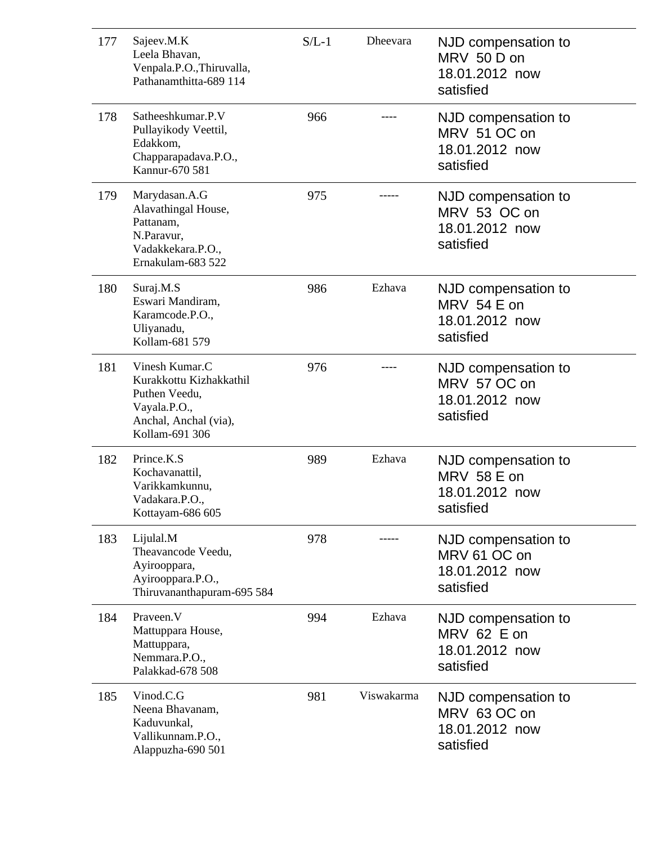| 177 | Sajeev.M.K<br>Leela Bhavan,<br>Venpala.P.O., Thiruvalla,<br>Pathanamthitta-689 114                                    | $S/L-1$ | <b>Dheevara</b> | NJD compensation to<br>MRV 50 D on<br>18.01.2012 now<br>satisfied   |
|-----|-----------------------------------------------------------------------------------------------------------------------|---------|-----------------|---------------------------------------------------------------------|
| 178 | Satheeshkumar.P.V<br>Pullayikody Veettil,<br>Edakkom,<br>Chapparapadava.P.O.,<br>Kannur-670 581                       | 966     |                 | NJD compensation to<br>MRV 51 OC on<br>18.01.2012 now<br>satisfied  |
| 179 | Marydasan.A.G<br>Alavathingal House,<br>Pattanam,<br>N.Paravur,<br>Vadakkekara.P.O.,<br>Ernakulam-683 522             | 975     |                 | NJD compensation to<br>MRV 53 OC on<br>18.01.2012 now<br>satisfied  |
| 180 | Suraj.M.S<br>Eswari Mandiram,<br>Karamcode.P.O.,<br>Uliyanadu,<br>Kollam-681 579                                      | 986     | Ezhava          | NJD compensation to<br>MRV 54 E on<br>18.01.2012 now<br>satisfied   |
| 181 | Vinesh Kumar.C<br>Kurakkottu Kizhakkathil<br>Puthen Veedu,<br>Vayala.P.O.,<br>Anchal, Anchal (via),<br>Kollam-691 306 | 976     |                 | NJD compensation to<br>MRV 57 OC on<br>18.01.2012 now<br>satisfied  |
| 182 | Prince.K.S<br>Kochavanattil,<br>Varikkamkunnu,<br>Vadakara.P.O.,<br>Kottayam-686 605                                  | 989     | Ezhava          | NJD compensation to<br>MRV 58 E on<br>18.01.2012 now<br>satisfied   |
| 183 | Lijulal.M<br>Theavancode Veedu,<br>Ayirooppara,<br>Ayirooppara.P.O.,<br>Thiruvananthapuram-695 584                    | 978     |                 | NJD compensation to<br>MRV 61 OC on<br>18.01.2012 now<br>satisfied  |
| 184 | Praveen.V<br>Mattuppara House,<br>Mattuppara,<br>Nemmara.P.O.,<br>Palakkad-678 508                                    | 994     | Ezhava          | NJD compensation to<br>$MRV$ 62 E on<br>18.01.2012 now<br>satisfied |
| 185 | Vinod.C.G<br>Neena Bhavanam,<br>Kaduvunkal,<br>Vallikunnam.P.O.,<br>Alappuzha-690 501                                 | 981     | Viswakarma      | NJD compensation to<br>MRV 63 OC on<br>18.01.2012 now<br>satisfied  |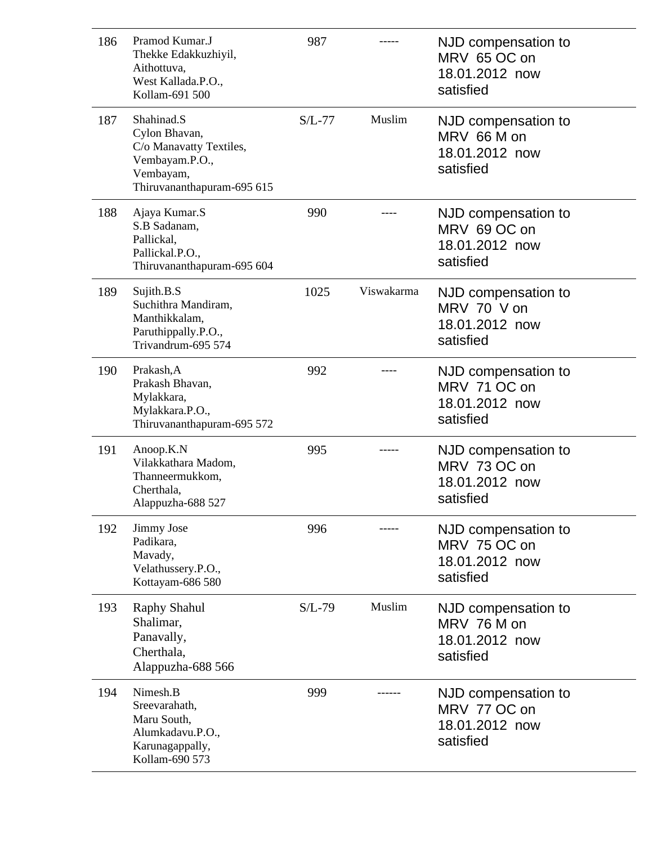| 186 | Pramod Kumar.J<br>Thekke Edakkuzhiyil,<br>Aithottuva,<br>West Kallada.P.O.,<br>Kollam-691 500                       | 987      |            | NJD compensation to<br>MRV 65 OC on<br>18.01.2012 now<br>satisfied |
|-----|---------------------------------------------------------------------------------------------------------------------|----------|------------|--------------------------------------------------------------------|
| 187 | Shahinad.S<br>Cylon Bhavan,<br>C/o Manavatty Textiles,<br>Vembayam.P.O.,<br>Vembayam,<br>Thiruvananthapuram-695 615 | $S/L-77$ | Muslim     | NJD compensation to<br>MRV 66 M on<br>18.01.2012 now<br>satisfied  |
| 188 | Ajaya Kumar.S<br>S.B Sadanam,<br>Pallickal,<br>Pallickal.P.O.,<br>Thiruvananthapuram-695 604                        | 990      |            | NJD compensation to<br>MRV 69 OC on<br>18.01.2012 now<br>satisfied |
| 189 | Sujith.B.S<br>Suchithra Mandiram,<br>Manthikkalam,<br>Paruthippally.P.O.,<br>Trivandrum-695 574                     | 1025     | Viswakarma | NJD compensation to<br>MRV 70 V on<br>18.01.2012 now<br>satisfied  |
| 190 | Prakash, A<br>Prakash Bhavan,<br>Mylakkara,<br>Mylakkara.P.O.,<br>Thiruvananthapuram-695 572                        | 992      |            | NJD compensation to<br>MRV 71 OC on<br>18.01.2012 now<br>satisfied |
| 191 | Anoop.K.N<br>Vilakkathara Madom,<br>Thanneermukkom,<br>Cherthala,<br>Alappuzha-688 527                              | 995      |            | NJD compensation to<br>MRV 73 OC on<br>18.01.2012 now<br>satisfied |
| 192 | Jimmy Jose<br>Padikara,<br>Mavady,<br>Velathussery.P.O.,<br>Kottayam-686 580                                        | 996      |            | NJD compensation to<br>MRV 75 OC on<br>18.01.2012 now<br>satisfied |
| 193 | Raphy Shahul<br>Shalimar,<br>Panavally,<br>Cherthala,<br>Alappuzha-688 566                                          | $S/L-79$ | Muslim     | NJD compensation to<br>MRV 76 M on<br>18.01.2012 now<br>satisfied  |
| 194 | Nimesh.B<br>Sreevarahath,<br>Maru South,<br>Alumkadavu.P.O.,<br>Karunagappally,<br>Kollam-690 573                   | 999      |            | NJD compensation to<br>MRV 77 OC on<br>18.01.2012 now<br>satisfied |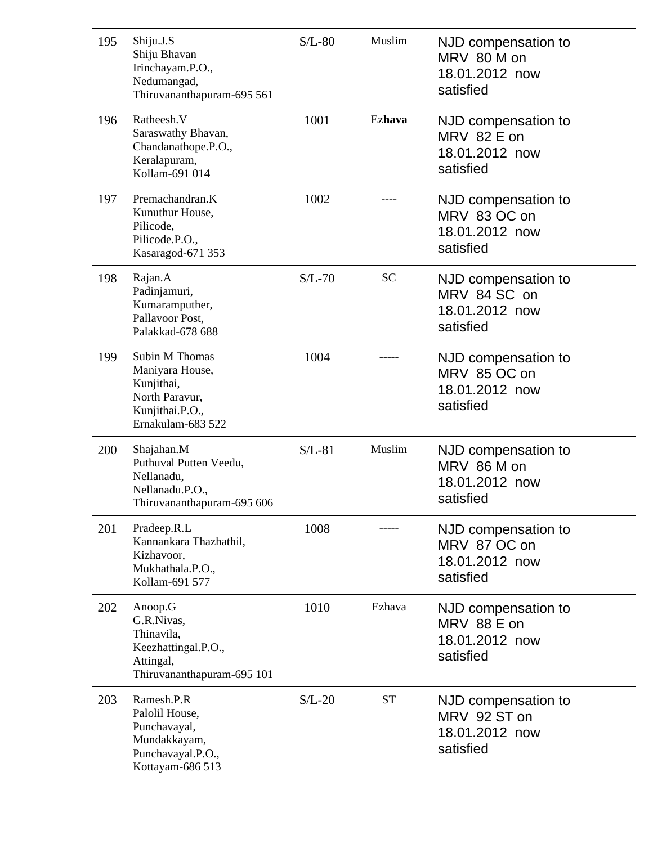| 195 | Shiju.J.S<br>Shiju Bhavan<br>Irinchayam.P.O.,<br>Nedumangad,<br>Thiruvananthapuram-695 561                | $S/L-80$ | Muslim    | NJD compensation to<br>MRV 80 M on<br>18.01.2012 now<br>satisfied  |
|-----|-----------------------------------------------------------------------------------------------------------|----------|-----------|--------------------------------------------------------------------|
| 196 | Ratheesh.V<br>Saraswathy Bhavan,<br>Chandanathope.P.O.,<br>Keralapuram,<br>Kollam-691 014                 | 1001     | Ezhava    | NJD compensation to<br>MRV 82 E on<br>18.01.2012 now<br>satisfied  |
| 197 | Premachandran.K<br>Kunuthur House,<br>Pilicode,<br>Pilicode.P.O.,<br>Kasaragod-671 353                    | 1002     |           | NJD compensation to<br>MRV 83 OC on<br>18.01.2012 now<br>satisfied |
| 198 | Rajan.A<br>Padinjamuri,<br>Kumaramputher,<br>Pallavoor Post,<br>Palakkad-678 688                          | $S/L-70$ | <b>SC</b> | NJD compensation to<br>MRV 84 SC on<br>18.01.2012 now<br>satisfied |
| 199 | Subin M Thomas<br>Maniyara House,<br>Kunjithai,<br>North Paravur,<br>Kunjithai.P.O.,<br>Ernakulam-683 522 | 1004     |           | NJD compensation to<br>MRV 85 OC on<br>18.01.2012 now<br>satisfied |
| 200 | Shajahan.M<br>Puthuval Putten Veedu,<br>Nellanadu,<br>Nellanadu.P.O.,<br>Thiruvananthapuram-695 606       | $S/L-81$ | Muslim    | NJD compensation to<br>MRV 86 M on<br>18.01.2012 now<br>satisfied  |
| 201 | Pradeep.R.L<br>Kannankara Thazhathil,<br>Kizhavoor,<br>Mukhathala.P.O.,<br>Kollam-691 577                 | 1008     |           | NJD compensation to<br>MRV 87 OC on<br>18.01.2012 now<br>satisfied |
| 202 | Anoop.G<br>G.R.Nivas,<br>Thinavila,<br>Keezhattingal.P.O.,<br>Attingal,<br>Thiruvananthapuram-695 101     | 1010     | Ezhava    | NJD compensation to<br>MRV 88 E on<br>18.01.2012 now<br>satisfied  |
| 203 | Ramesh.P.R<br>Palolil House,<br>Punchavayal,<br>Mundakkayam,<br>Punchavayal.P.O.,<br>Kottayam-686 513     | $S/L-20$ | <b>ST</b> | NJD compensation to<br>MRV 92 ST on<br>18.01.2012 now<br>satisfied |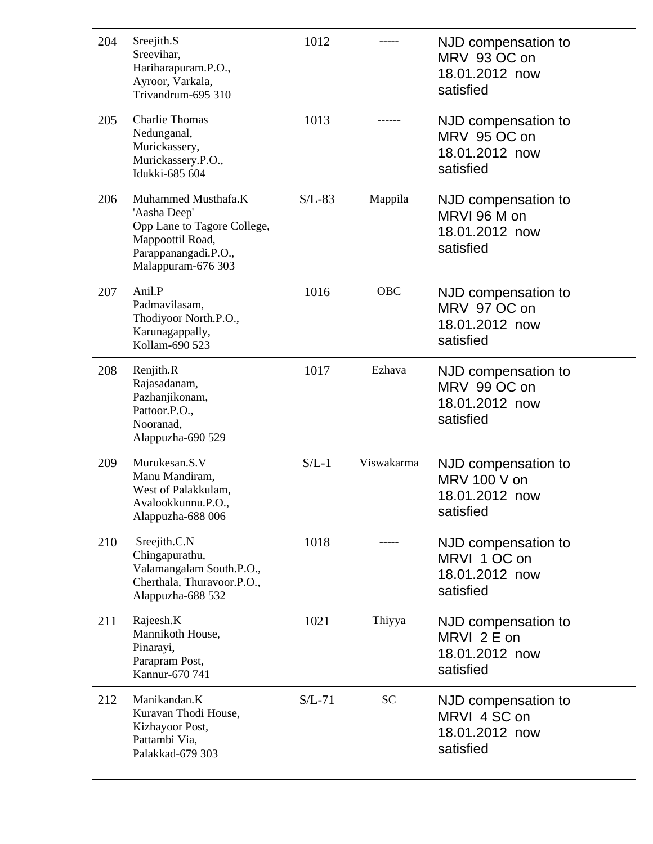| 204 | Sreejith.S<br>Sreevihar,<br>Hariharapuram.P.O.,<br>Ayroor, Varkala,<br>Trivandrum-695 310                                            | 1012     |            | NJD compensation to<br>MRV 93 OC on<br>18.01.2012 now<br>satisfied |
|-----|--------------------------------------------------------------------------------------------------------------------------------------|----------|------------|--------------------------------------------------------------------|
| 205 | <b>Charlie Thomas</b><br>Nedunganal,<br>Murickassery,<br>Murickassery.P.O.,<br>Idukki-685 604                                        | 1013     |            | NJD compensation to<br>MRV 95 OC on<br>18.01.2012 now<br>satisfied |
| 206 | Muhammed Musthafa.K<br>'Aasha Deep'<br>Opp Lane to Tagore College,<br>Mappoottil Road,<br>Parappanangadi.P.O.,<br>Malappuram-676 303 | $S/L-83$ | Mappila    | NJD compensation to<br>MRVI 96 M on<br>18.01.2012 now<br>satisfied |
| 207 | Anil.P<br>Padmavilasam,<br>Thodiyoor North.P.O.,<br>Karunagappally,<br>Kollam-690 523                                                | 1016     | <b>OBC</b> | NJD compensation to<br>MRV 97 OC on<br>18.01.2012 now<br>satisfied |
| 208 | Renjith.R<br>Rajasadanam,<br>Pazhanjikonam,<br>Pattoor.P.O.,<br>Nooranad,<br>Alappuzha-690 529                                       | 1017     | Ezhava     | NJD compensation to<br>MRV 99 OC on<br>18.01.2012 now<br>satisfied |
| 209 | Murukesan.S.V<br>Manu Mandiram,<br>West of Palakkulam,<br>Avalookkunnu.P.O.,<br>Alappuzha-688 006                                    | $S/L-1$  | Viswakarma | NJD compensation to<br>MRV 100 V on<br>18.01.2012 now<br>satisfied |
| 210 | Sreejith.C.N<br>Chingapurathu,<br>Valamangalam South.P.O.,<br>Cherthala, Thuravoor.P.O.,<br>Alappuzha-688 532                        | 1018     |            | NJD compensation to<br>MRVI 1 OC on<br>18.01.2012 now<br>satisfied |
| 211 | Rajeesh.K<br>Mannikoth House,<br>Pinarayi,<br>Parapram Post,<br>Kannur-670 741                                                       | 1021     | Thiyya     | NJD compensation to<br>MRVI 2 E on<br>18.01.2012 now<br>satisfied  |
| 212 | Manikandan.K<br>Kuravan Thodi House,<br>Kizhayoor Post,<br>Pattambi Via,<br>Palakkad-679 303                                         | $S/L-71$ | <b>SC</b>  | NJD compensation to<br>MRVI 4 SC on<br>18.01.2012 now<br>satisfied |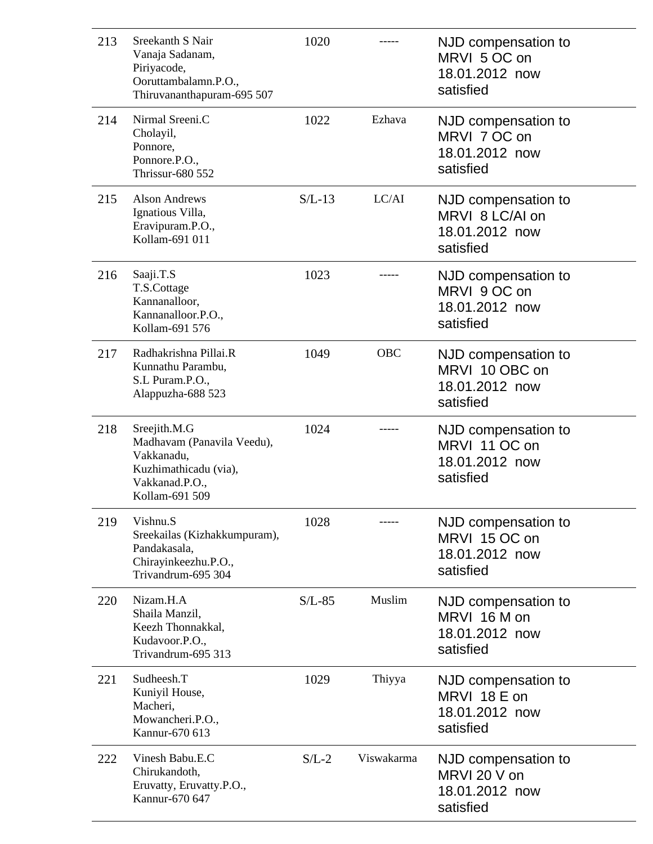| 213 | Sreekanth S Nair<br>Vanaja Sadanam,<br>Piriyacode,<br>Ooruttambalamn.P.O.,<br>Thiruvananthapuram-695 507              | 1020     |            | NJD compensation to<br>MRVI 5 OC on<br>18.01.2012 now<br>satisfied    |
|-----|-----------------------------------------------------------------------------------------------------------------------|----------|------------|-----------------------------------------------------------------------|
| 214 | Nirmal Sreeni.C<br>Cholayil,<br>Ponnore,<br>Ponnore.P.O.,<br><b>Thrissur-680 552</b>                                  | 1022     | Ezhava     | NJD compensation to<br>MRVI 7 OC on<br>18.01.2012 now<br>satisfied    |
| 215 | <b>Alson Andrews</b><br>Ignatious Villa,<br>Eravipuram.P.O.,<br>Kollam-691 011                                        | $S/L-13$ | LC/AI      | NJD compensation to<br>MRVI 8 LC/AI on<br>18.01.2012 now<br>satisfied |
| 216 | Saaji.T.S<br>T.S.Cottage<br>Kannanalloor,<br>Kannanalloor.P.O.,<br>Kollam-691 576                                     | 1023     |            | NJD compensation to<br>MRVI 9 OC on<br>18.01.2012 now<br>satisfied    |
| 217 | Radhakrishna Pillai.R<br>Kunnathu Parambu,<br>S.L Puram.P.O.,<br>Alappuzha-688 523                                    | 1049     | <b>OBC</b> | NJD compensation to<br>MRVI 10 OBC on<br>18.01.2012 now<br>satisfied  |
| 218 | Sreejith.M.G<br>Madhavam (Panavila Veedu),<br>Vakkanadu,<br>Kuzhimathicadu (via),<br>Vakkanad.P.O.,<br>Kollam-691 509 | 1024     |            | NJD compensation to<br>MRVI 11 OC on<br>18.01.2012 now<br>satisfied   |
| 219 | Vishnu.S<br>Sreekailas (Kizhakkumpuram),<br>Pandakasala,<br>Chirayinkeezhu.P.O.,<br>Trivandrum-695 304                | 1028     |            | NJD compensation to<br>MRVI 15 OC on<br>18.01.2012 now<br>satisfied   |
| 220 | Nizam.H.A<br>Shaila Manzil,<br>Keezh Thonnakkal,<br>Kudavoor.P.O.,<br>Trivandrum-695 313                              | $S/L-85$ | Muslim     | NJD compensation to<br>MRVI 16 M on<br>18.01.2012 now<br>satisfied    |
| 221 | Sudheesh.T<br>Kuniyil House,<br>Macheri,<br>Mowancheri.P.O.,<br>Kannur-670 613                                        | 1029     | Thiyya     | NJD compensation to<br>MRVI 18 E on<br>18.01.2012 now<br>satisfied    |
| 222 | Vinesh Babu.E.C<br>Chirukandoth,<br>Eruvatty, Eruvatty.P.O.,<br>Kannur-670 647                                        | $S/L-2$  | Viswakarma | NJD compensation to<br>MRVI 20 V on<br>18.01.2012 now<br>satisfied    |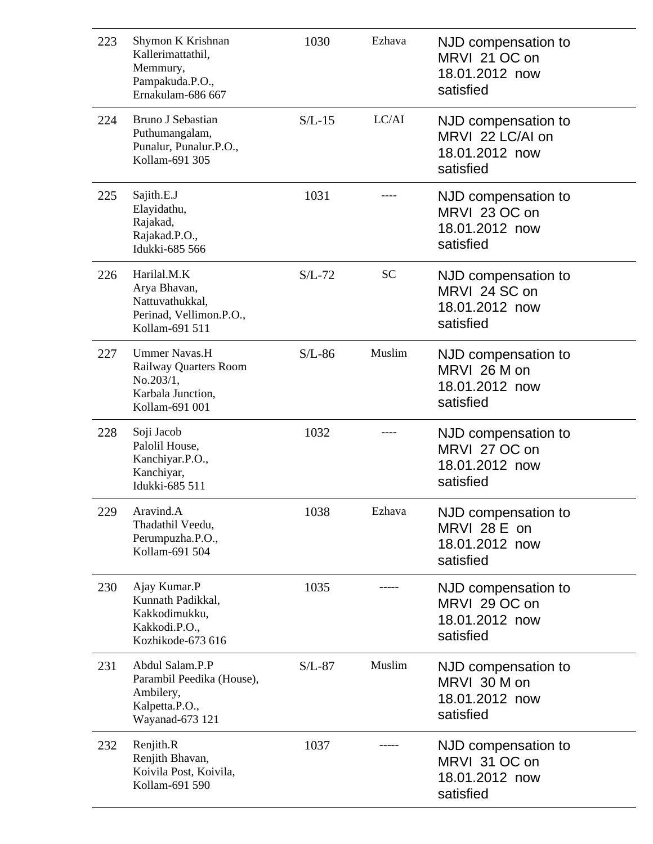| 223 | Shymon K Krishnan<br>Kallerimattathil,<br>Memmury,<br>Pampakuda.P.O.,<br>Ernakulam-686 667        | 1030     | Ezhava    | NJD compensation to<br>MRVI 21 OC on<br>18.01.2012 now<br>satisfied    |
|-----|---------------------------------------------------------------------------------------------------|----------|-----------|------------------------------------------------------------------------|
| 224 | Bruno J Sebastian<br>Puthumangalam,<br>Punalur, Punalur.P.O.,<br>Kollam-691 305                   | $S/L-15$ | LC/AI     | NJD compensation to<br>MRVI 22 LC/AI on<br>18.01.2012 now<br>satisfied |
| 225 | Sajith.E.J<br>Elayidathu,<br>Rajakad,<br>Rajakad.P.O.,<br>Idukki-685 566                          | 1031     |           | NJD compensation to<br>MRVI 23 OC on<br>18.01.2012 now<br>satisfied    |
| 226 | Harilal.M.K<br>Arya Bhavan,<br>Nattuvathukkal,<br>Perinad, Vellimon.P.O.,<br>Kollam-691 511       | $S/L-72$ | <b>SC</b> | NJD compensation to<br>MRVI 24 SC on<br>18.01.2012 now<br>satisfied    |
| 227 | <b>Ummer Navas.H</b><br>Railway Quarters Room<br>No.203/1,<br>Karbala Junction,<br>Kollam-691 001 | $S/L-86$ | Muslim    | NJD compensation to<br>MRVI 26 M on<br>18.01.2012 now<br>satisfied     |
| 228 | Soji Jacob<br>Palolil House,<br>Kanchiyar.P.O.,<br>Kanchiyar,<br>Idukki-685 511                   | 1032     |           | NJD compensation to<br>MRVI 27 OC on<br>18.01.2012 now<br>satisfied    |
| 229 | Aravind.A<br>Thadathil Veedu,<br>Perumpuzha.P.O.,<br>Kollam-691 504                               | 1038     | Ezhava    | NJD compensation to<br>MRVI 28 E on<br>18.01.2012 now<br>satisfied     |
| 230 | Ajay Kumar.P<br>Kunnath Padikkal,<br>Kakkodimukku,<br>Kakkodi.P.O.,<br>Kozhikode-673 616          | 1035     |           | NJD compensation to<br>MRVI 29 OC on<br>18.01.2012 now<br>satisfied    |
| 231 | Abdul Salam.P.P<br>Parambil Peedika (House),<br>Ambilery,<br>Kalpetta.P.O.,<br>Wayanad-673 121    | $S/L-87$ | Muslim    | NJD compensation to<br>MRVI 30 M on<br>18.01.2012 now<br>satisfied     |
| 232 | Renjith.R<br>Renjith Bhavan,<br>Koivila Post, Koivila,<br>Kollam-691 590                          | 1037     |           | NJD compensation to<br>MRVI 31 OC on<br>18.01.2012 now<br>satisfied    |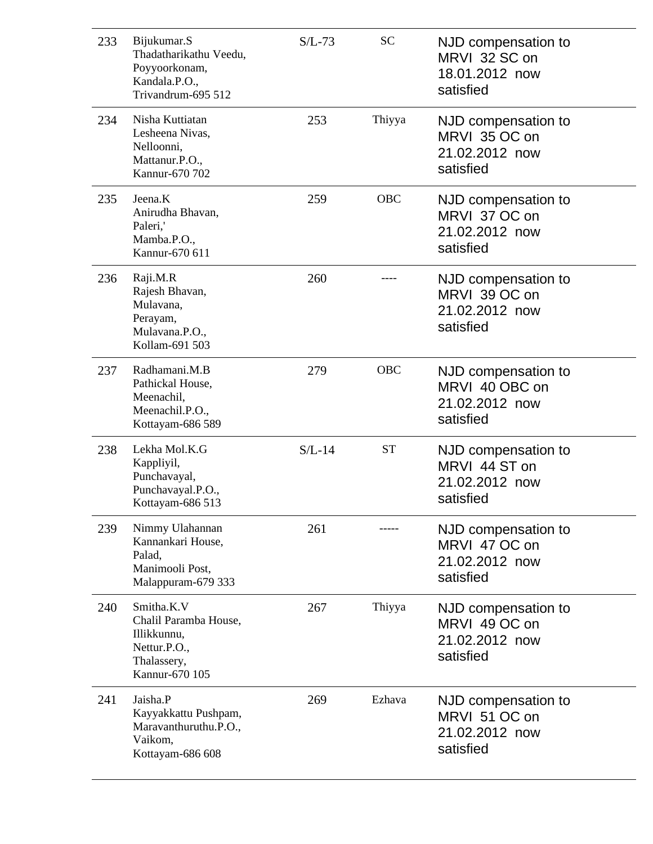| 233 | Bijukumar.S<br>Thadatharikathu Veedu,<br>Poyyoorkonam,<br>Kandala.P.O.,<br>Trivandrum-695 512       | $S/L-73$ | <b>SC</b>  | NJD compensation to<br>MRVI 32 SC on<br>18.01.2012 now<br>satisfied  |
|-----|-----------------------------------------------------------------------------------------------------|----------|------------|----------------------------------------------------------------------|
| 234 | Nisha Kuttiatan<br>Lesheena Nivas,<br>Nelloonni,<br>Mattanur.P.O.,<br>Kannur-670 702                | 253      | Thiyya     | NJD compensation to<br>MRVI 35 OC on<br>21.02.2012 now<br>satisfied  |
| 235 | Jeena.K<br>Anirudha Bhavan,<br>Paleri,'<br>Mamba.P.O.,<br>Kannur-670 611                            | 259      | <b>OBC</b> | NJD compensation to<br>MRVI 37 OC on<br>21.02.2012 now<br>satisfied  |
| 236 | Raji.M.R<br>Rajesh Bhavan,<br>Mulavana,<br>Perayam,<br>Mulavana.P.O.,<br>Kollam-691 503             | 260      |            | NJD compensation to<br>MRVI 39 OC on<br>21.02.2012 now<br>satisfied  |
| 237 | Radhamani.M.B<br>Pathickal House,<br>Meenachil,<br>Meenachil.P.O.,<br>Kottayam-686 589              | 279      | <b>OBC</b> | NJD compensation to<br>MRVI 40 OBC on<br>21.02.2012 now<br>satisfied |
| 238 | Lekha Mol.K.G<br>Kappliyil,<br>Punchavayal,<br>Punchavayal.P.O.,<br>Kottayam-686 513                | $S/L-14$ | <b>ST</b>  | NJD compensation to<br>MRVI 44 ST on<br>21.02.2012 now<br>satisfied  |
| 239 | Nimmy Ulahannan<br>Kannankari House,<br>Palad,<br>Manimooli Post,<br>Malappuram-679 333             | 261      |            | NJD compensation to<br>MRVI 47 OC on<br>21.02.2012 now<br>satisfied  |
| 240 | Smitha.K.V<br>Chalil Paramba House,<br>Illikkunnu,<br>Nettur.P.O.,<br>Thalassery,<br>Kannur-670 105 | 267      | Thiyya     | NJD compensation to<br>MRVI 49 OC on<br>21.02.2012 now<br>satisfied  |
| 241 | Jaisha.P<br>Kayyakkattu Pushpam,<br>Maravanthuruthu.P.O.,<br>Vaikom,<br>Kottayam-686 608            | 269      | Ezhava     | NJD compensation to<br>MRVI 51 OC on<br>21.02.2012 now<br>satisfied  |